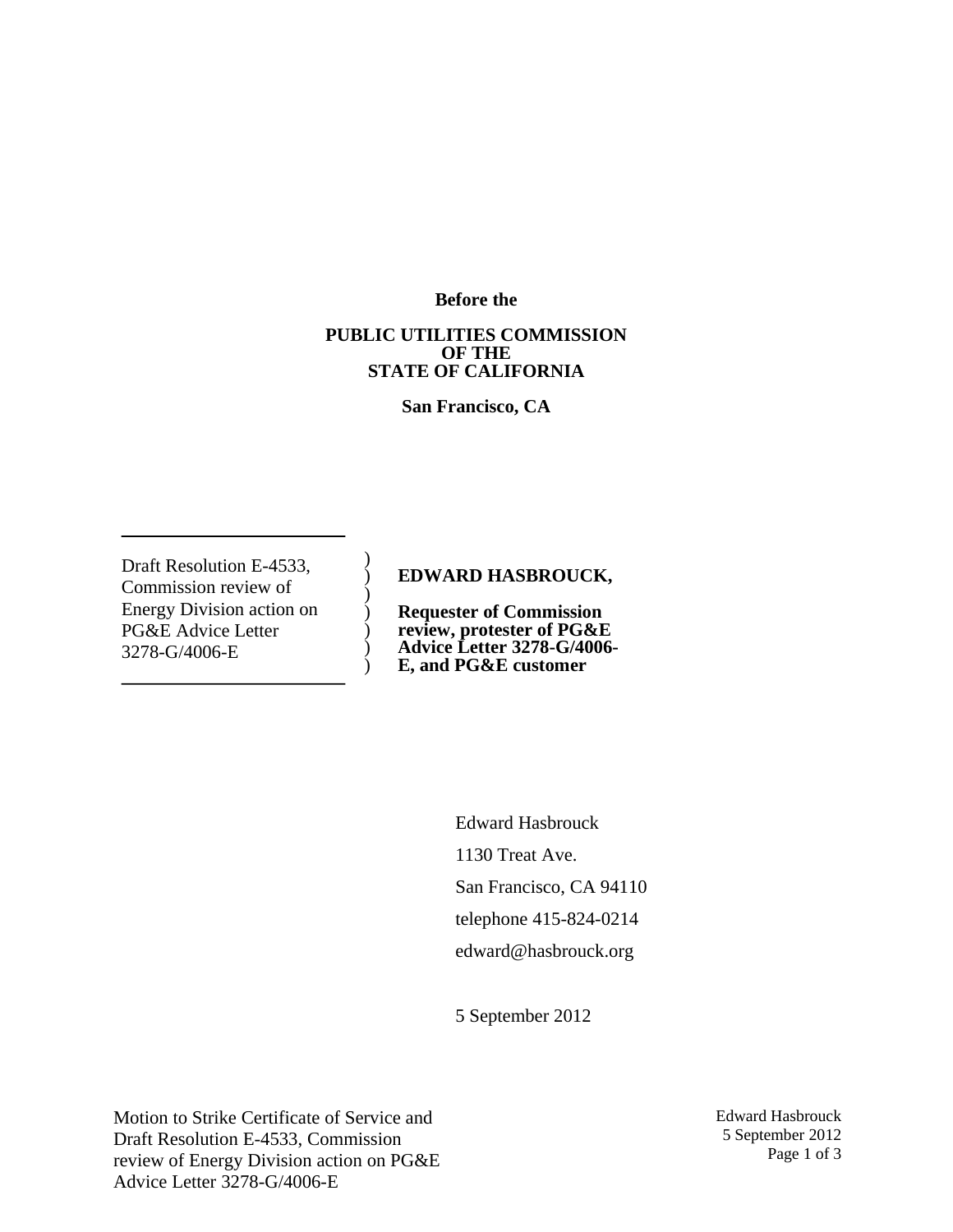**Before the**

#### **PUBLIC UTILITIES COMMISSION OF THE STATE OF CALIFORNIA**

**San Francisco, CA**

Draft Resolution E-4533, Commission review of Energy Division action on PG&E Advice Letter 3278-G/4006-E

## **EDWARD HASBROUCK,**

) ) ) ) ) ) )

**Requester of Commission review, protester of PG&E Advice Letter 3278-G/4006- E, and PG&E customer**

> Edward Hasbrouck 1130 Treat Ave. San Francisco, CA 94110 telephone 415-824-0214 edward@hasbrouck.org

5 September 2012

Motion to Strike Certificate of Service and Draft Resolution E-4533, Commission review of Energy Division action on PG&E Advice Letter 3278-G/4006-E

Edward Hasbrouck 5 September 2012 Page 1 of 3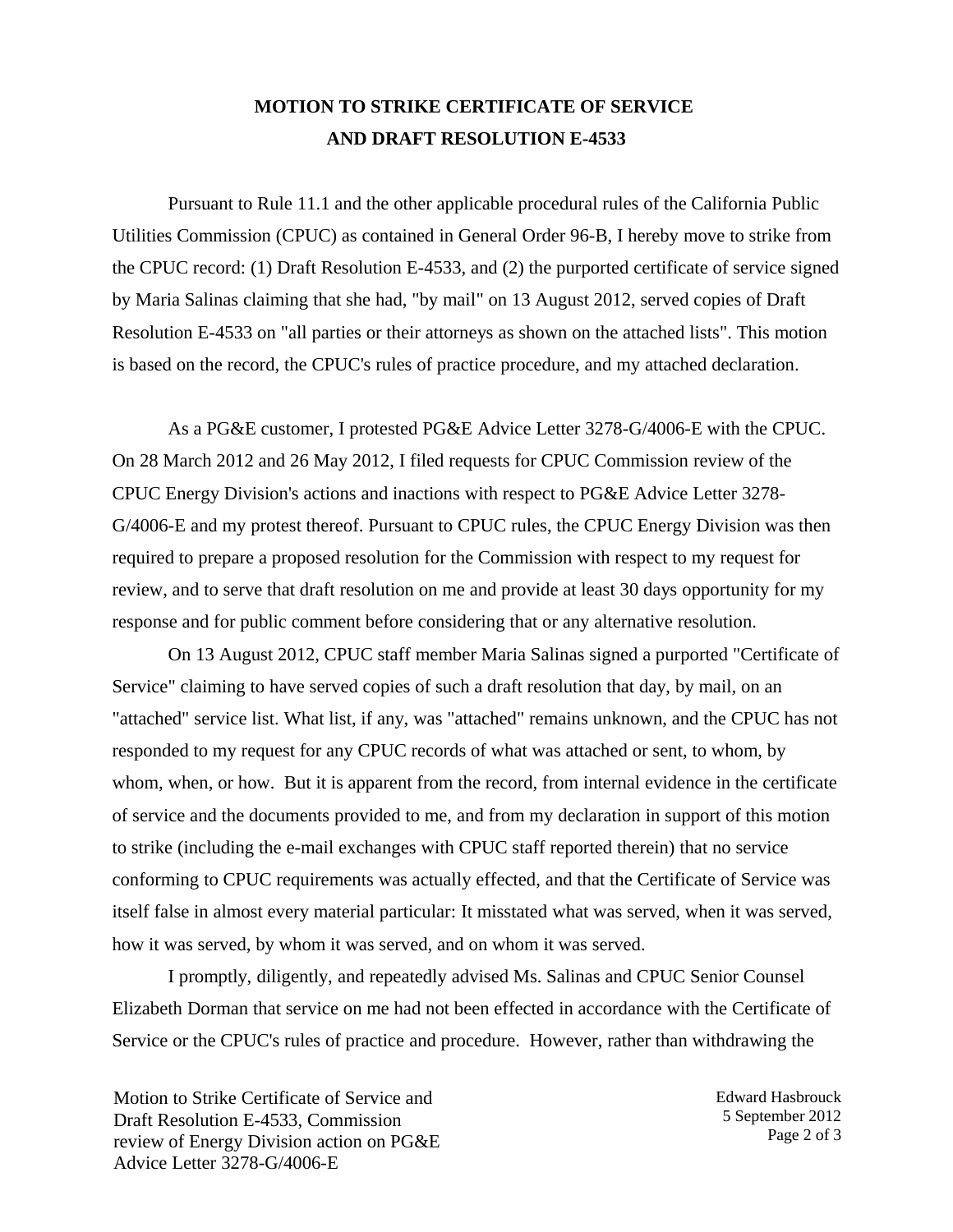## **MOTION TO STRIKE CERTIFICATE OF SERVICE AND DRAFT RESOLUTION E-4533**

Pursuant to Rule 11.1 and the other applicable procedural rules of the California Public Utilities Commission (CPUC) as contained in General Order 96-B, I hereby move to strike from the CPUC record: (1) Draft Resolution E-4533, and (2) the purported certificate of service signed by Maria Salinas claiming that she had, "by mail" on 13 August 2012, served copies of Draft Resolution E-4533 on "all parties or their attorneys as shown on the attached lists". This motion is based on the record, the CPUC's rules of practice procedure, and my attached declaration.

As a PG&E customer, I protested PG&E Advice Letter 3278-G/4006-E with the CPUC. On 28 March 2012 and 26 May 2012, I filed requests for CPUC Commission review of the CPUC Energy Division's actions and inactions with respect to PG&E Advice Letter 3278- G/4006-E and my protest thereof. Pursuant to CPUC rules, the CPUC Energy Division was then required to prepare a proposed resolution for the Commission with respect to my request for review, and to serve that draft resolution on me and provide at least 30 days opportunity for my response and for public comment before considering that or any alternative resolution.

On 13 August 2012, CPUC staff member Maria Salinas signed a purported "Certificate of Service" claiming to have served copies of such a draft resolution that day, by mail, on an "attached" service list. What list, if any, was "attached" remains unknown, and the CPUC has not responded to my request for any CPUC records of what was attached or sent, to whom, by whom, when, or how. But it is apparent from the record, from internal evidence in the certificate of service and the documents provided to me, and from my declaration in support of this motion to strike (including the e-mail exchanges with CPUC staff reported therein) that no service conforming to CPUC requirements was actually effected, and that the Certificate of Service was itself false in almost every material particular: It misstated what was served, when it was served, how it was served, by whom it was served, and on whom it was served.

I promptly, diligently, and repeatedly advised Ms. Salinas and CPUC Senior Counsel Elizabeth Dorman that service on me had not been effected in accordance with the Certificate of Service or the CPUC's rules of practice and procedure. However, rather than withdrawing the

Motion to Strike Certificate of Service and Draft Resolution E-4533, Commission review of Energy Division action on PG&E Advice Letter 3278-G/4006-E

Edward Hasbrouck 5 September 2012 Page 2 of 3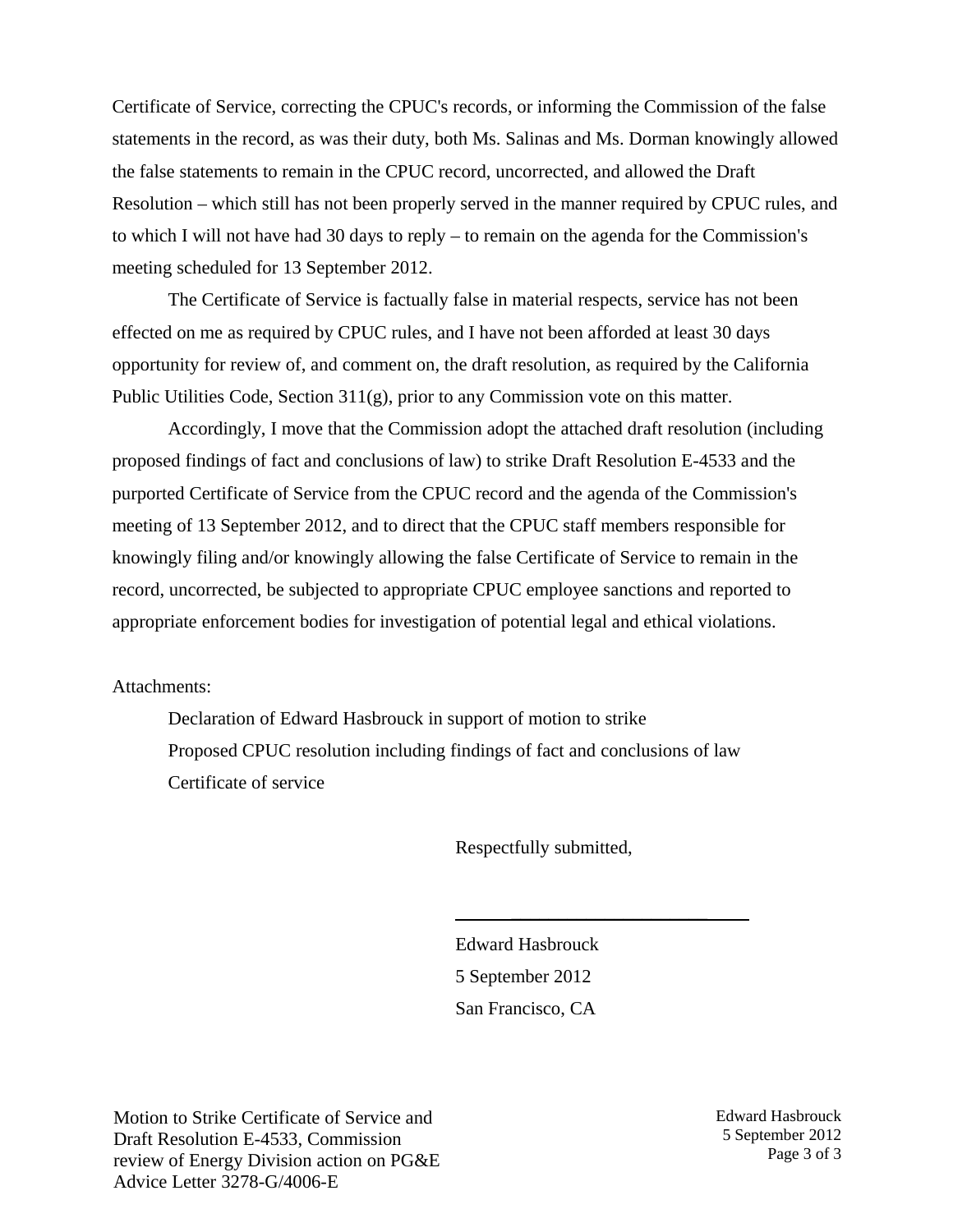Certificate of Service, correcting the CPUC's records, or informing the Commission of the false statements in the record, as was their duty, both Ms. Salinas and Ms. Dorman knowingly allowed the false statements to remain in the CPUC record, uncorrected, and allowed the Draft Resolution – which still has not been properly served in the manner required by CPUC rules, and to which I will not have had 30 days to reply – to remain on the agenda for the Commission's meeting scheduled for 13 September 2012.

The Certificate of Service is factually false in material respects, service has not been effected on me as required by CPUC rules, and I have not been afforded at least 30 days opportunity for review of, and comment on, the draft resolution, as required by the California Public Utilities Code, Section 311(g), prior to any Commission vote on this matter.

Accordingly, I move that the Commission adopt the attached draft resolution (including proposed findings of fact and conclusions of law) to strike Draft Resolution E-4533 and the purported Certificate of Service from the CPUC record and the agenda of the Commission's meeting of 13 September 2012, and to direct that the CPUC staff members responsible for knowingly filing and/or knowingly allowing the false Certificate of Service to remain in the record, uncorrected, be subjected to appropriate CPUC employee sanctions and reported to appropriate enforcement bodies for investigation of potential legal and ethical violations.

Attachments:

Declaration of Edward Hasbrouck in support of motion to strike Proposed CPUC resolution including findings of fact and conclusions of law Certificate of service

Respectfully submitted,

\_\_\_\_\_\_\_\_\_\_\_\_\_\_\_\_\_\_\_\_\_

Edward Hasbrouck 5 September 2012 San Francisco, CA

Motion to Strike Certificate of Service and Draft Resolution E-4533, Commission review of Energy Division action on PG&E Advice Letter 3278-G/4006-E

Edward Hasbrouck 5 September 2012 Page 3 of 3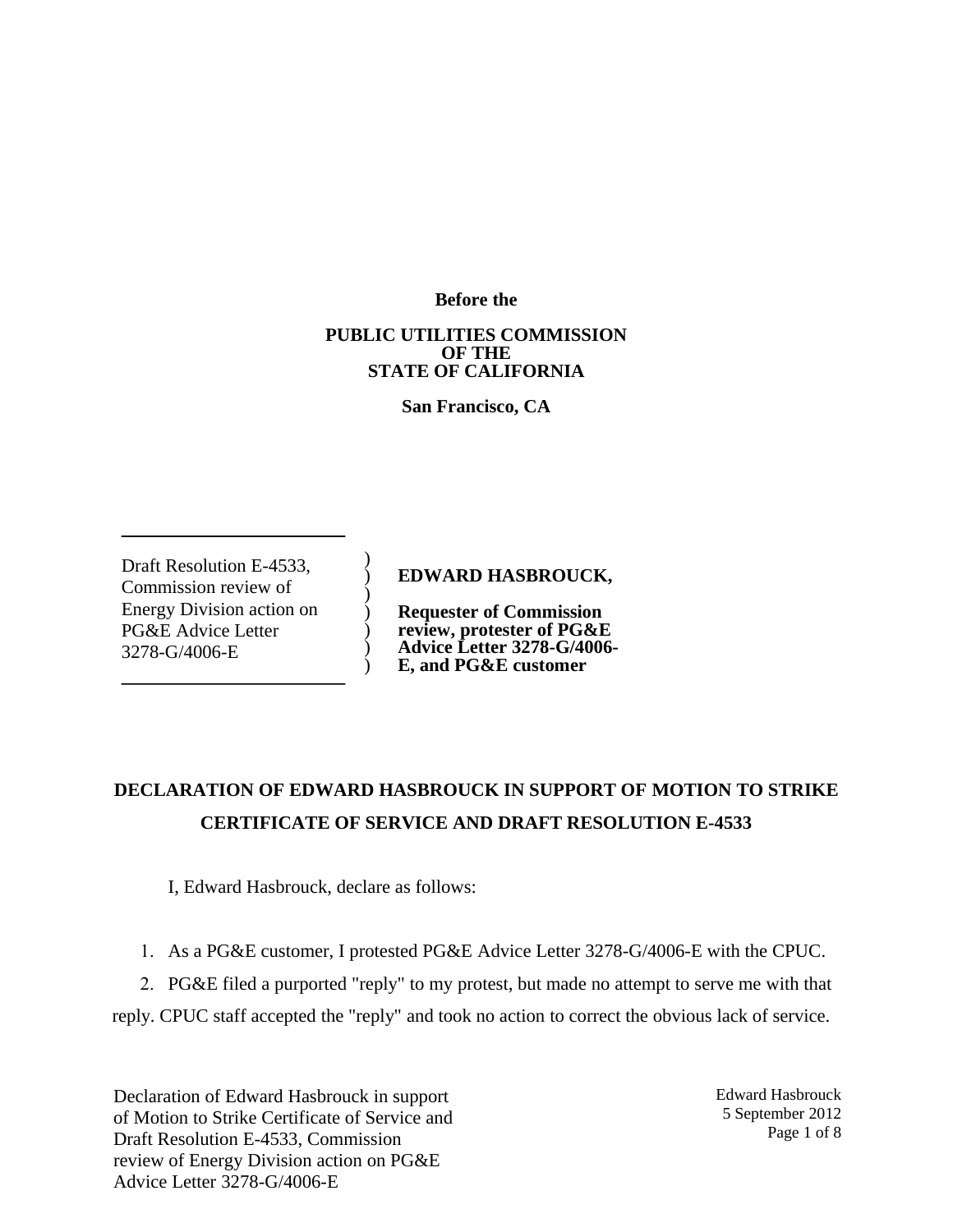**Before the**

#### **PUBLIC UTILITIES COMMISSION OF THE STATE OF CALIFORNIA**

**San Francisco, CA**

Draft Resolution E-4533, Commission review of Energy Division action on PG&E Advice Letter 3278-G/4006-E

**EDWARD HASBROUCK,**

**Requester of Commission review, protester of PG&E Advice Letter 3278-G/4006- E, and PG&E customer**

# **DECLARATION OF EDWARD HASBROUCK IN SUPPORT OF MOTION TO STRIKE CERTIFICATE OF SERVICE AND DRAFT RESOLUTION E-4533**

I, Edward Hasbrouck, declare as follows:

) ) ) ) ) ) )

1. As a PG&E customer, I protested PG&E Advice Letter 3278-G/4006-E with the CPUC.

2. PG&E filed a purported "reply" to my protest, but made no attempt to serve me with that

reply. CPUC staff accepted the "reply" and took no action to correct the obvious lack of service.

Declaration of Edward Hasbrouck in support of Motion to Strike Certificate of Service and Draft Resolution E-4533, Commission review of Energy Division action on PG&E Advice Letter 3278-G/4006-E

Edward Hasbrouck 5 September 2012 Page 1 of 8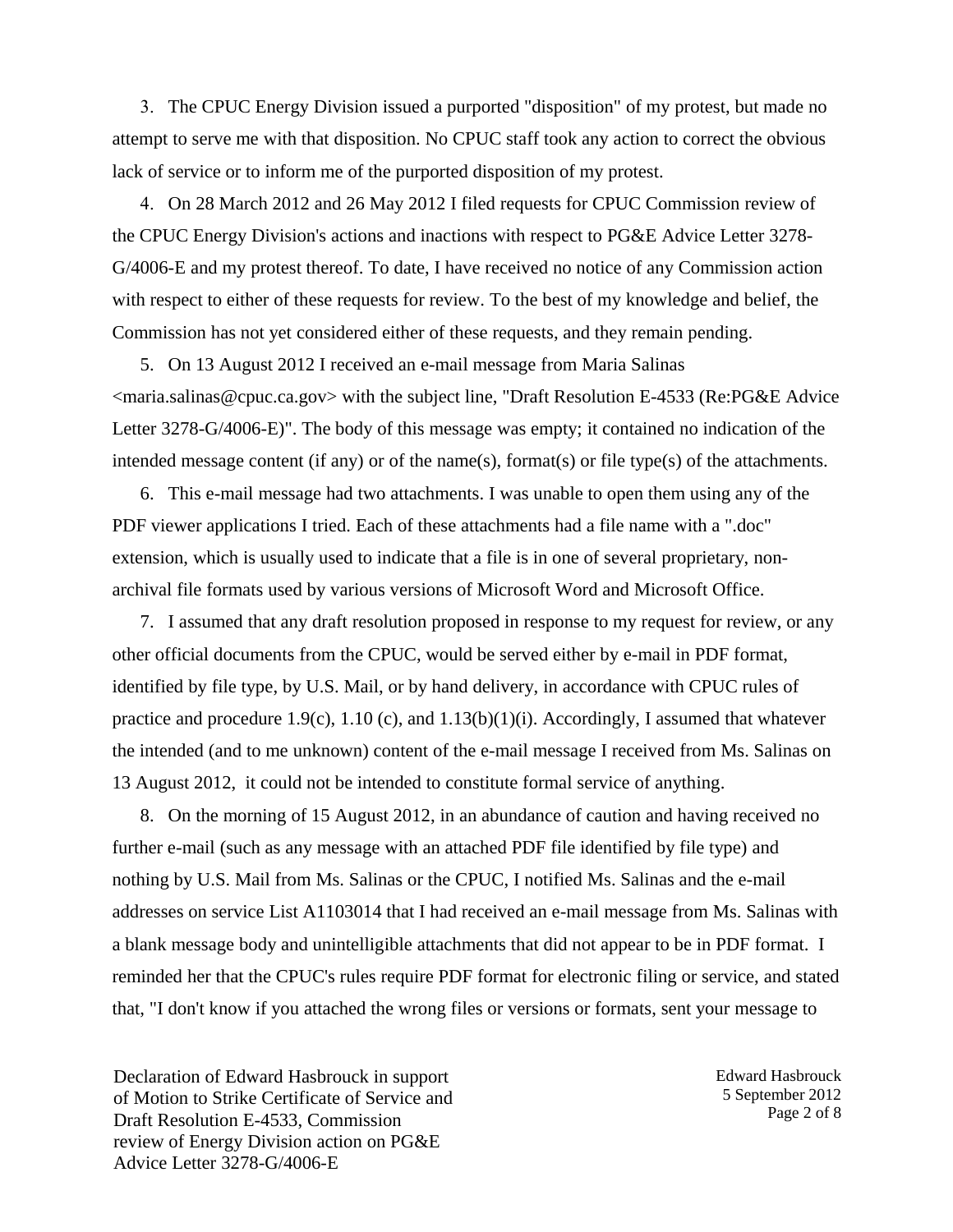3. The CPUC Energy Division issued a purported "disposition" of my protest, but made no attempt to serve me with that disposition. No CPUC staff took any action to correct the obvious lack of service or to inform me of the purported disposition of my protest.

4. On 28 March 2012 and 26 May 2012 I filed requests for CPUC Commission review of the CPUC Energy Division's actions and inactions with respect to PG&E Advice Letter 3278- G/4006-E and my protest thereof. To date, I have received no notice of any Commission action with respect to either of these requests for review. To the best of my knowledge and belief, the Commission has not yet considered either of these requests, and they remain pending.

5. On 13 August 2012 I received an e-mail message from Maria Salinas <maria.salinas@cpuc.ca.gov> with the subject line, "Draft Resolution E-4533 (Re:PG&E Advice Letter 3278-G/4006-E)". The body of this message was empty; it contained no indication of the intended message content (if any) or of the name(s), format(s) or file type(s) of the attachments.

6. This e-mail message had two attachments. I was unable to open them using any of the PDF viewer applications I tried. Each of these attachments had a file name with a ".doc" extension, which is usually used to indicate that a file is in one of several proprietary, nonarchival file formats used by various versions of Microsoft Word and Microsoft Office.

7. I assumed that any draft resolution proposed in response to my request for review, or any other official documents from the CPUC, would be served either by e-mail in PDF format, identified by file type, by U.S. Mail, or by hand delivery, in accordance with CPUC rules of practice and procedure 1.9(c), 1.10 (c), and 1.13(b)(1)(i). Accordingly, I assumed that whatever the intended (and to me unknown) content of the e-mail message I received from Ms. Salinas on 13 August 2012, it could not be intended to constitute formal service of anything.

8. On the morning of 15 August 2012, in an abundance of caution and having received no further e-mail (such as any message with an attached PDF file identified by file type) and nothing by U.S. Mail from Ms. Salinas or the CPUC, I notified Ms. Salinas and the e-mail addresses on service List A1103014 that I had received an e-mail message from Ms. Salinas with a blank message body and unintelligible attachments that did not appear to be in PDF format. I reminded her that the CPUC's rules require PDF format for electronic filing or service, and stated that, "I don't know if you attached the wrong files or versions or formats, sent your message to

Declaration of Edward Hasbrouck in support of Motion to Strike Certificate of Service and Draft Resolution E-4533, Commission review of Energy Division action on PG&E Advice Letter 3278-G/4006-E

Edward Hasbrouck 5 September 2012 Page 2 of 8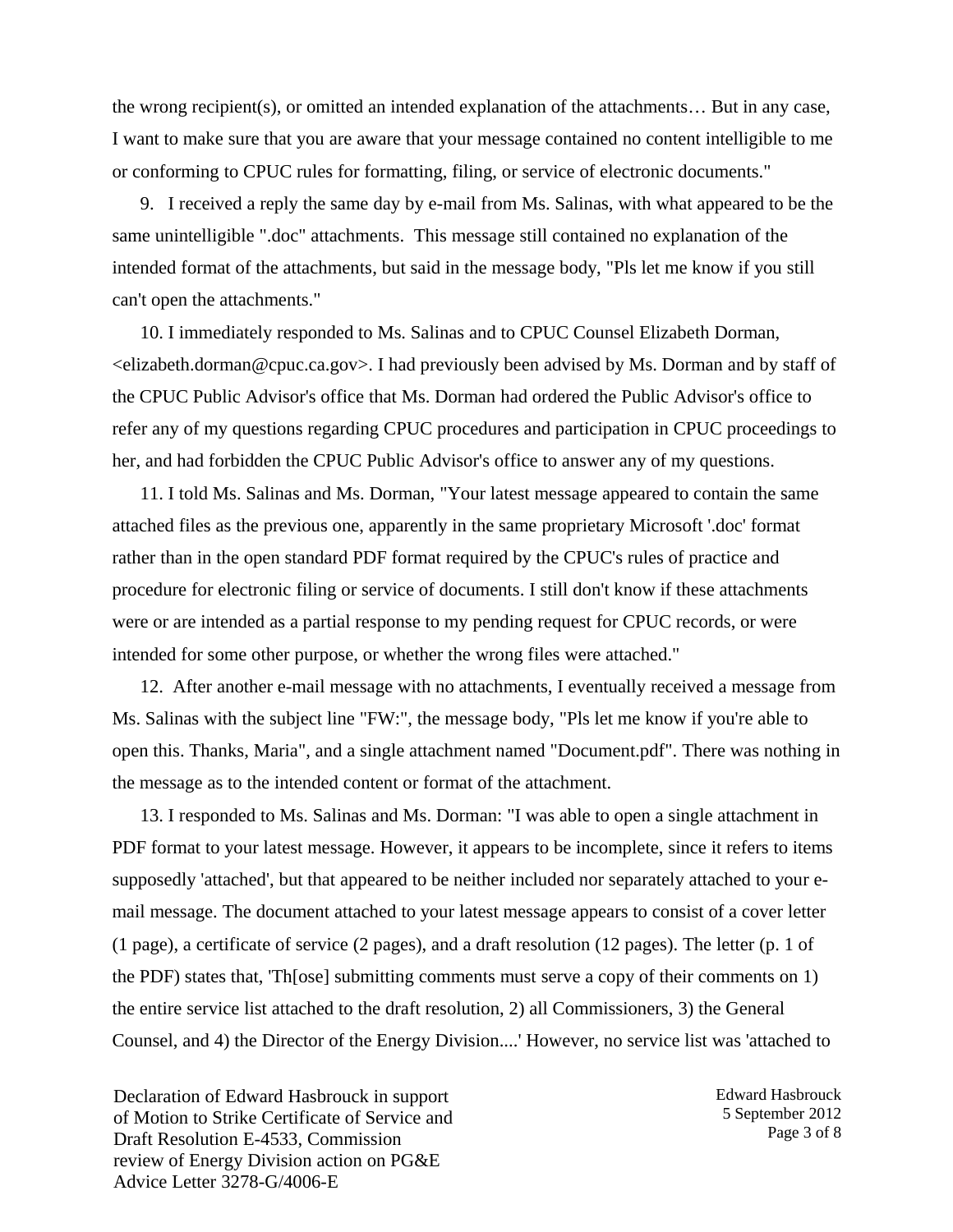the wrong recipient(s), or omitted an intended explanation of the attachments… But in any case, I want to make sure that you are aware that your message contained no content intelligible to me or conforming to CPUC rules for formatting, filing, or service of electronic documents."

9. I received a reply the same day by e-mail from Ms. Salinas, with what appeared to be the same unintelligible ".doc" attachments. This message still contained no explanation of the intended format of the attachments, but said in the message body, "Pls let me know if you still can't open the attachments."

10. I immediately responded to Ms. Salinas and to CPUC Counsel Elizabeth Dorman,  $\le$ elizabeth.dorman@cpuc.ca.gov>. I had previously been advised by Ms. Dorman and by staff of the CPUC Public Advisor's office that Ms. Dorman had ordered the Public Advisor's office to refer any of my questions regarding CPUC procedures and participation in CPUC proceedings to her, and had forbidden the CPUC Public Advisor's office to answer any of my questions.

11. I told Ms. Salinas and Ms. Dorman, "Your latest message appeared to contain the same attached files as the previous one, apparently in the same proprietary Microsoft '.doc' format rather than in the open standard PDF format required by the CPUC's rules of practice and procedure for electronic filing or service of documents. I still don't know if these attachments were or are intended as a partial response to my pending request for CPUC records, or were intended for some other purpose, or whether the wrong files were attached."

12. After another e-mail message with no attachments, I eventually received a message from Ms. Salinas with the subject line "FW:", the message body, "Pls let me know if you're able to open this. Thanks, Maria", and a single attachment named "Document.pdf". There was nothing in the message as to the intended content or format of the attachment.

13. I responded to Ms. Salinas and Ms. Dorman: "I was able to open a single attachment in PDF format to your latest message. However, it appears to be incomplete, since it refers to items supposedly 'attached', but that appeared to be neither included nor separately attached to your email message. The document attached to your latest message appears to consist of a cover letter (1 page), a certificate of service (2 pages), and a draft resolution (12 pages). The letter (p. 1 of the PDF) states that, 'Th[ose] submitting comments must serve a copy of their comments on 1) the entire service list attached to the draft resolution, 2) all Commissioners, 3) the General Counsel, and 4) the Director of the Energy Division....' However, no service list was 'attached to

Declaration of Edward Hasbrouck in support of Motion to Strike Certificate of Service and Draft Resolution E-4533, Commission review of Energy Division action on PG&E Advice Letter 3278-G/4006-E

Edward Hasbrouck 5 September 2012 Page 3 of 8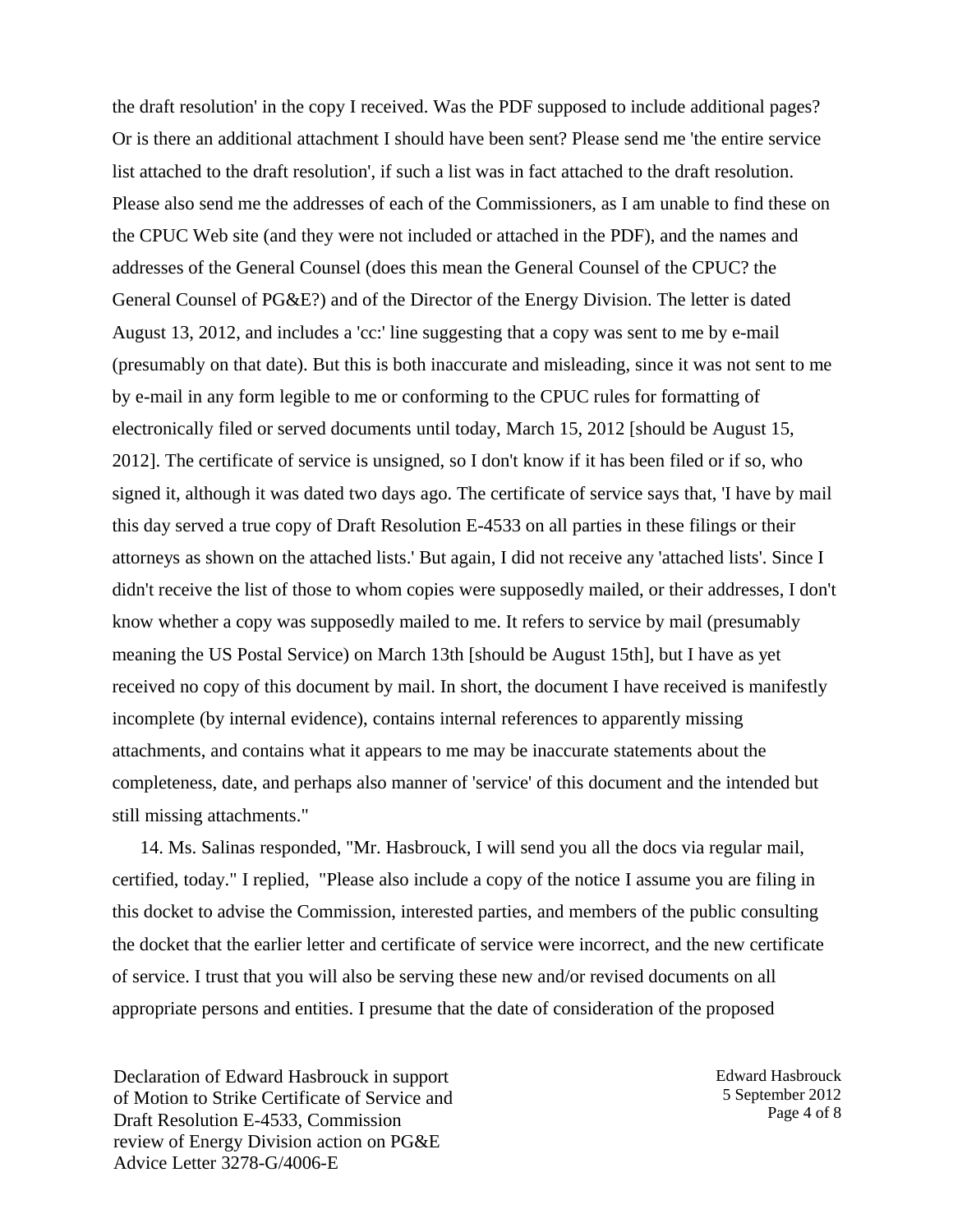the draft resolution' in the copy I received. Was the PDF supposed to include additional pages? Or is there an additional attachment I should have been sent? Please send me 'the entire service list attached to the draft resolution', if such a list was in fact attached to the draft resolution. Please also send me the addresses of each of the Commissioners, as I am unable to find these on the CPUC Web site (and they were not included or attached in the PDF), and the names and addresses of the General Counsel (does this mean the General Counsel of the CPUC? the General Counsel of PG&E?) and of the Director of the Energy Division. The letter is dated August 13, 2012, and includes a 'cc:' line suggesting that a copy was sent to me by e-mail (presumably on that date). But this is both inaccurate and misleading, since it was not sent to me by e-mail in any form legible to me or conforming to the CPUC rules for formatting of electronically filed or served documents until today, March 15, 2012 [should be August 15, 2012]. The certificate of service is unsigned, so I don't know if it has been filed or if so, who signed it, although it was dated two days ago. The certificate of service says that, 'I have by mail this day served a true copy of Draft Resolution E-4533 on all parties in these filings or their attorneys as shown on the attached lists.' But again, I did not receive any 'attached lists'. Since I didn't receive the list of those to whom copies were supposedly mailed, or their addresses, I don't know whether a copy was supposedly mailed to me. It refers to service by mail (presumably meaning the US Postal Service) on March 13th [should be August 15th], but I have as yet received no copy of this document by mail. In short, the document I have received is manifestly incomplete (by internal evidence), contains internal references to apparently missing attachments, and contains what it appears to me may be inaccurate statements about the completeness, date, and perhaps also manner of 'service' of this document and the intended but still missing attachments."

14. Ms. Salinas responded, "Mr. Hasbrouck, I will send you all the docs via regular mail, certified, today." I replied, "Please also include a copy of the notice I assume you are filing in this docket to advise the Commission, interested parties, and members of the public consulting the docket that the earlier letter and certificate of service were incorrect, and the new certificate of service. I trust that you will also be serving these new and/or revised documents on all appropriate persons and entities. I presume that the date of consideration of the proposed

Declaration of Edward Hasbrouck in support of Motion to Strike Certificate of Service and Draft Resolution E-4533, Commission review of Energy Division action on PG&E Advice Letter 3278-G/4006-E

Edward Hasbrouck 5 September 2012 Page 4 of 8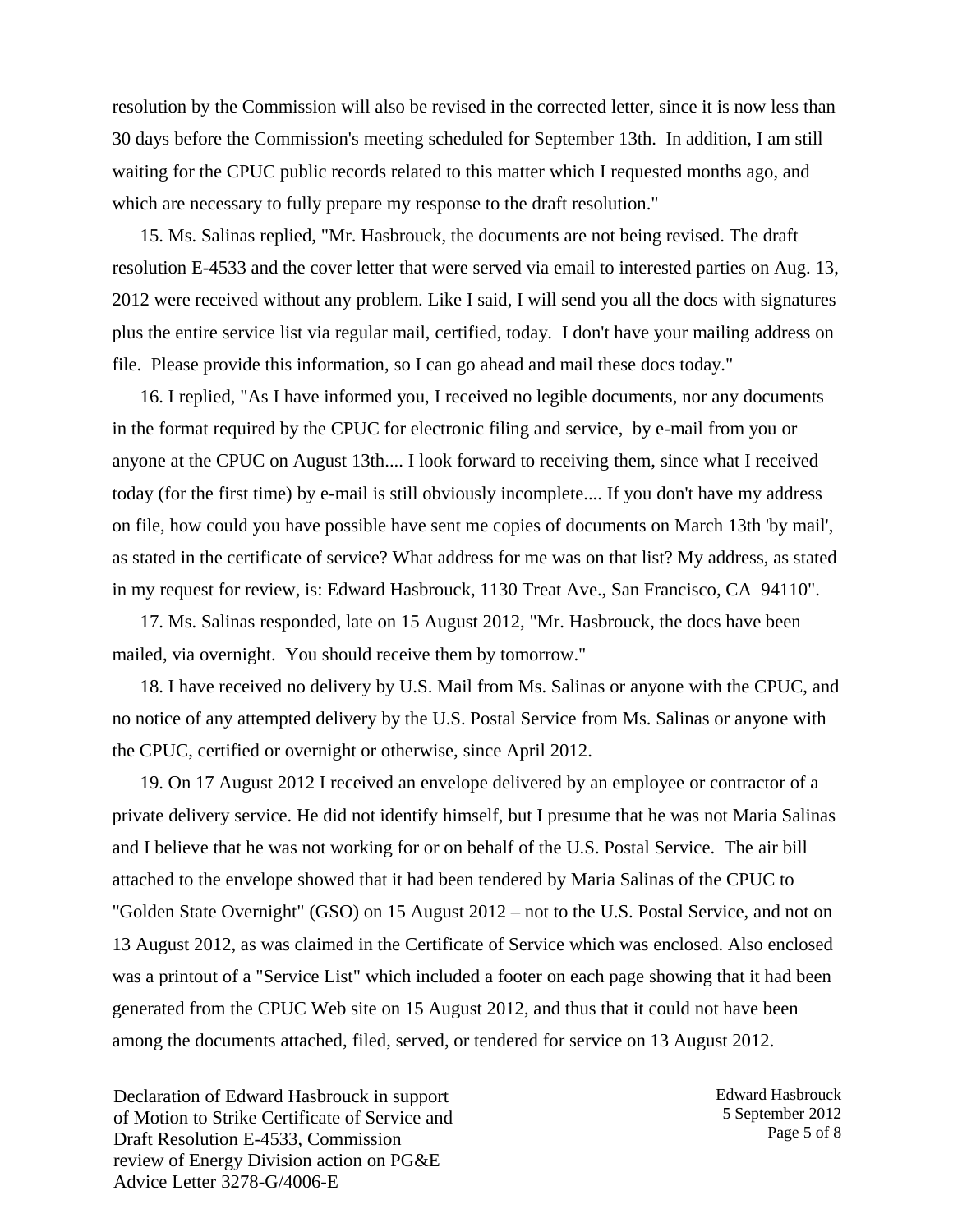resolution by the Commission will also be revised in the corrected letter, since it is now less than 30 days before the Commission's meeting scheduled for September 13th. In addition, I am still waiting for the CPUC public records related to this matter which I requested months ago, and which are necessary to fully prepare my response to the draft resolution."

15. Ms. Salinas replied, "Mr. Hasbrouck, the documents are not being revised. The draft resolution E-4533 and the cover letter that were served via email to interested parties on Aug. 13, 2012 were received without any problem. Like I said, I will send you all the docs with signatures plus the entire service list via regular mail, certified, today. I don't have your mailing address on file. Please provide this information, so I can go ahead and mail these docs today."

16. I replied, "As I have informed you, I received no legible documents, nor any documents in the format required by the CPUC for electronic filing and service, by e-mail from you or anyone at the CPUC on August 13th.... I look forward to receiving them, since what I received today (for the first time) by e-mail is still obviously incomplete.... If you don't have my address on file, how could you have possible have sent me copies of documents on March 13th 'by mail', as stated in the certificate of service? What address for me was on that list? My address, as stated in my request for review, is: Edward Hasbrouck, 1130 Treat Ave., San Francisco, CA 94110".

17. Ms. Salinas responded, late on 15 August 2012, "Mr. Hasbrouck, the docs have been mailed, via overnight. You should receive them by tomorrow."

18. I have received no delivery by U.S. Mail from Ms. Salinas or anyone with the CPUC, and no notice of any attempted delivery by the U.S. Postal Service from Ms. Salinas or anyone with the CPUC, certified or overnight or otherwise, since April 2012.

19. On 17 August 2012 I received an envelope delivered by an employee or contractor of a private delivery service. He did not identify himself, but I presume that he was not Maria Salinas and I believe that he was not working for or on behalf of the U.S. Postal Service. The air bill attached to the envelope showed that it had been tendered by Maria Salinas of the CPUC to "Golden State Overnight" (GSO) on 15 August 2012 – not to the U.S. Postal Service, and not on 13 August 2012, as was claimed in the Certificate of Service which was enclosed. Also enclosed was a printout of a "Service List" which included a footer on each page showing that it had been generated from the CPUC Web site on 15 August 2012, and thus that it could not have been among the documents attached, filed, served, or tendered for service on 13 August 2012.

Declaration of Edward Hasbrouck in support of Motion to Strike Certificate of Service and Draft Resolution E-4533, Commission review of Energy Division action on PG&E Advice Letter 3278-G/4006-E

Edward Hasbrouck 5 September 2012 Page 5 of 8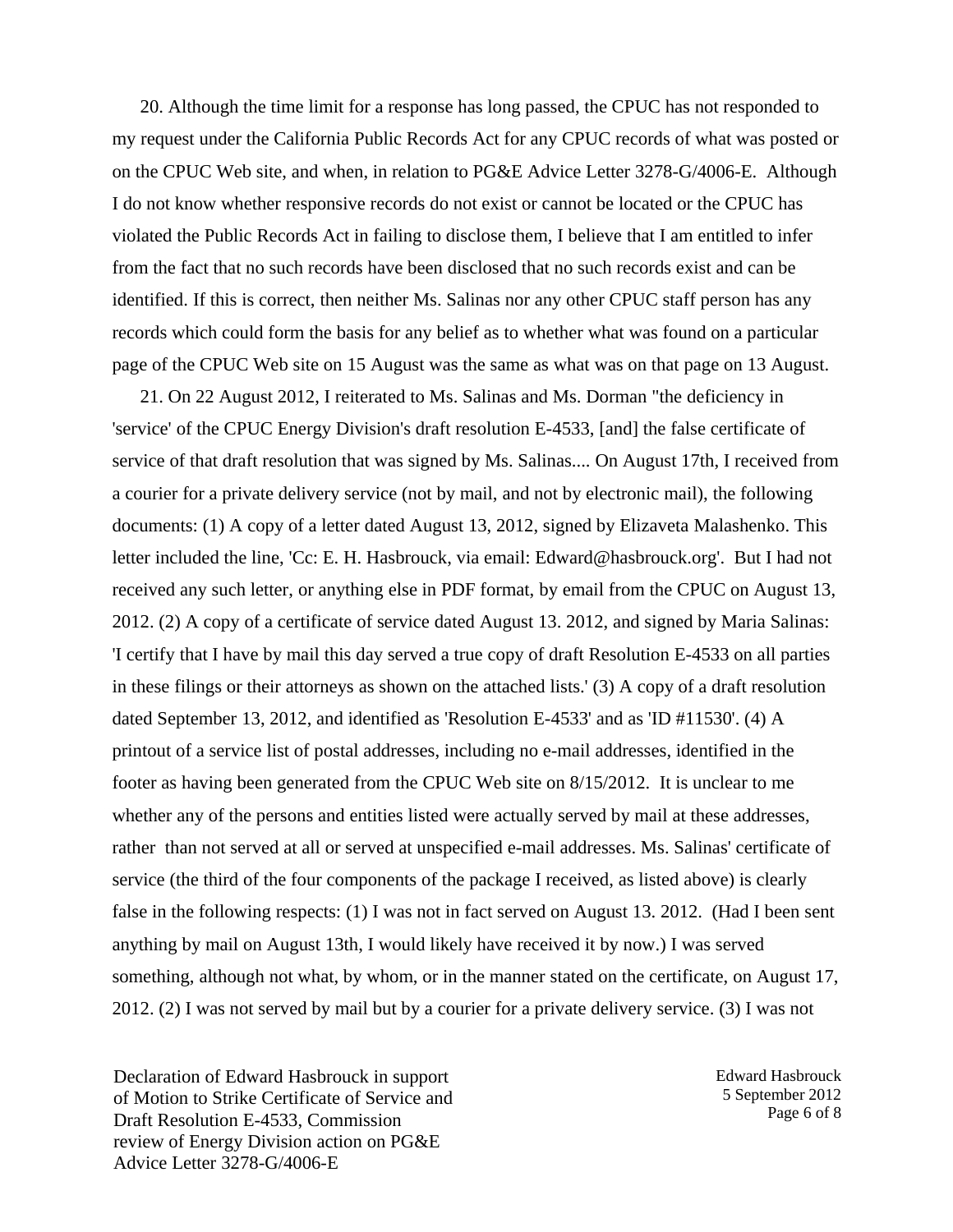20. Although the time limit for a response has long passed, the CPUC has not responded to my request under the California Public Records Act for any CPUC records of what was posted or on the CPUC Web site, and when, in relation to PG&E Advice Letter 3278-G/4006-E. Although I do not know whether responsive records do not exist or cannot be located or the CPUC has violated the Public Records Act in failing to disclose them, I believe that I am entitled to infer from the fact that no such records have been disclosed that no such records exist and can be identified. If this is correct, then neither Ms. Salinas nor any other CPUC staff person has any records which could form the basis for any belief as to whether what was found on a particular page of the CPUC Web site on 15 August was the same as what was on that page on 13 August.

21. On 22 August 2012, I reiterated to Ms. Salinas and Ms. Dorman "the deficiency in 'service' of the CPUC Energy Division's draft resolution E-4533, [and] the false certificate of service of that draft resolution that was signed by Ms. Salinas.... On August 17th, I received from a courier for a private delivery service (not by mail, and not by electronic mail), the following documents: (1) A copy of a letter dated August 13, 2012, signed by Elizaveta Malashenko. This letter included the line, 'Cc: E. H. Hasbrouck, via email: Edward@hasbrouck.org'. But I had not received any such letter, or anything else in PDF format, by email from the CPUC on August 13, 2012. (2) A copy of a certificate of service dated August 13. 2012, and signed by Maria Salinas: 'I certify that I have by mail this day served a true copy of draft Resolution E-4533 on all parties in these filings or their attorneys as shown on the attached lists.' (3) A copy of a draft resolution dated September 13, 2012, and identified as 'Resolution E-4533' and as 'ID #11530'. (4) A printout of a service list of postal addresses, including no e-mail addresses, identified in the footer as having been generated from the CPUC Web site on 8/15/2012. It is unclear to me whether any of the persons and entities listed were actually served by mail at these addresses, rather than not served at all or served at unspecified e-mail addresses. Ms. Salinas' certificate of service (the third of the four components of the package I received, as listed above) is clearly false in the following respects: (1) I was not in fact served on August 13. 2012. (Had I been sent anything by mail on August 13th, I would likely have received it by now.) I was served something, although not what, by whom, or in the manner stated on the certificate, on August 17, 2012. (2) I was not served by mail but by a courier for a private delivery service. (3) I was not

Declaration of Edward Hasbrouck in support of Motion to Strike Certificate of Service and Draft Resolution E-4533, Commission review of Energy Division action on PG&E Advice Letter 3278-G/4006-E

Edward Hasbrouck 5 September 2012 Page 6 of 8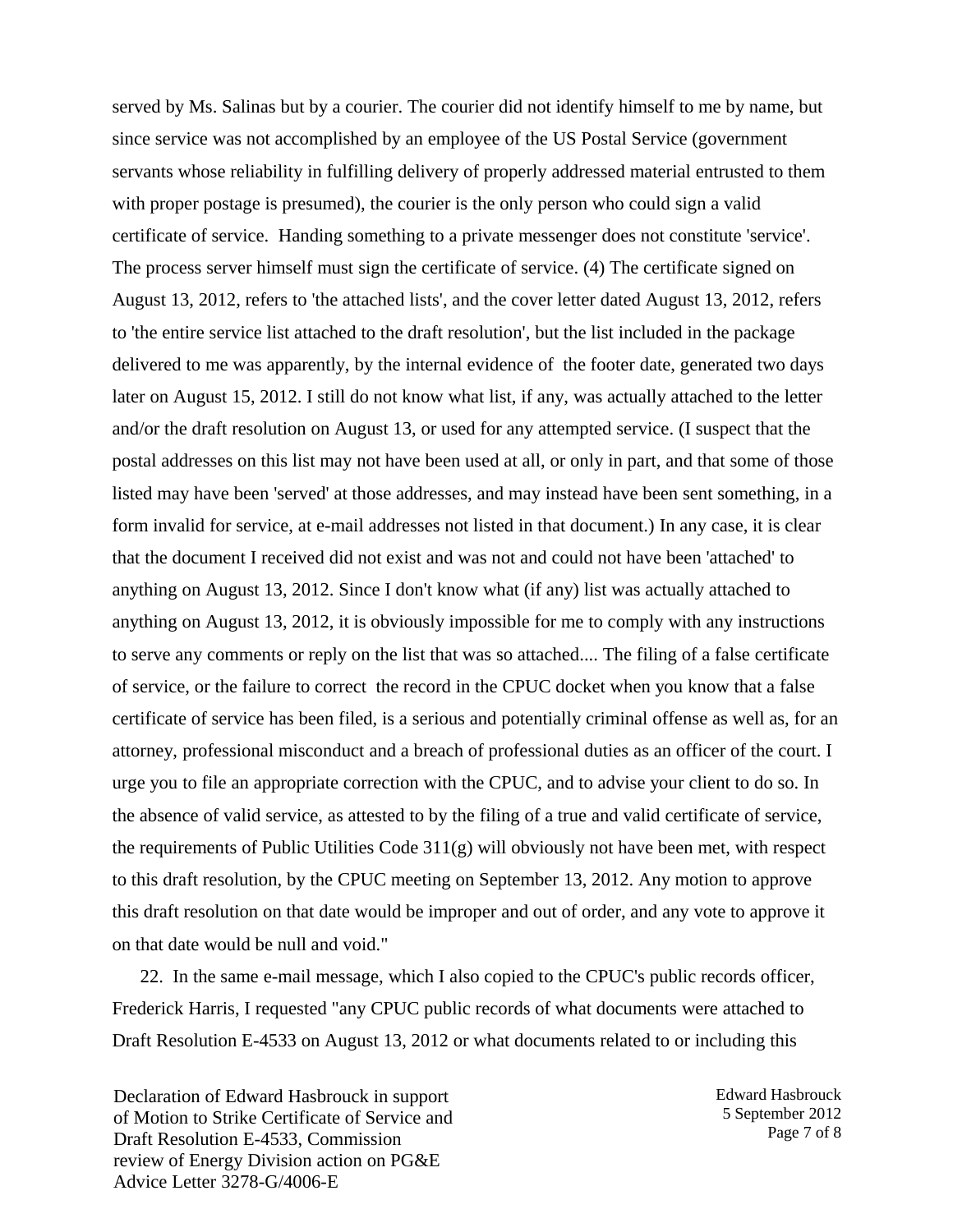served by Ms. Salinas but by a courier. The courier did not identify himself to me by name, but since service was not accomplished by an employee of the US Postal Service (government servants whose reliability in fulfilling delivery of properly addressed material entrusted to them with proper postage is presumed), the courier is the only person who could sign a valid certificate of service. Handing something to a private messenger does not constitute 'service'. The process server himself must sign the certificate of service. (4) The certificate signed on August 13, 2012, refers to 'the attached lists', and the cover letter dated August 13, 2012, refers to 'the entire service list attached to the draft resolution', but the list included in the package delivered to me was apparently, by the internal evidence of the footer date, generated two days later on August 15, 2012. I still do not know what list, if any, was actually attached to the letter and/or the draft resolution on August 13, or used for any attempted service. (I suspect that the postal addresses on this list may not have been used at all, or only in part, and that some of those listed may have been 'served' at those addresses, and may instead have been sent something, in a form invalid for service, at e-mail addresses not listed in that document.) In any case, it is clear that the document I received did not exist and was not and could not have been 'attached' to anything on August 13, 2012. Since I don't know what (if any) list was actually attached to anything on August 13, 2012, it is obviously impossible for me to comply with any instructions to serve any comments or reply on the list that was so attached.... The filing of a false certificate of service, or the failure to correct the record in the CPUC docket when you know that a false certificate of service has been filed, is a serious and potentially criminal offense as well as, for an attorney, professional misconduct and a breach of professional duties as an officer of the court. I urge you to file an appropriate correction with the CPUC, and to advise your client to do so. In the absence of valid service, as attested to by the filing of a true and valid certificate of service, the requirements of Public Utilities Code 311(g) will obviously not have been met, with respect to this draft resolution, by the CPUC meeting on September 13, 2012. Any motion to approve this draft resolution on that date would be improper and out of order, and any vote to approve it on that date would be null and void."

22. In the same e-mail message, which I also copied to the CPUC's public records officer, Frederick Harris, I requested "any CPUC public records of what documents were attached to Draft Resolution E-4533 on August 13, 2012 or what documents related to or including this

Declaration of Edward Hasbrouck in support of Motion to Strike Certificate of Service and Draft Resolution E-4533, Commission review of Energy Division action on PG&E Advice Letter 3278-G/4006-E

Edward Hasbrouck 5 September 2012 Page 7 of 8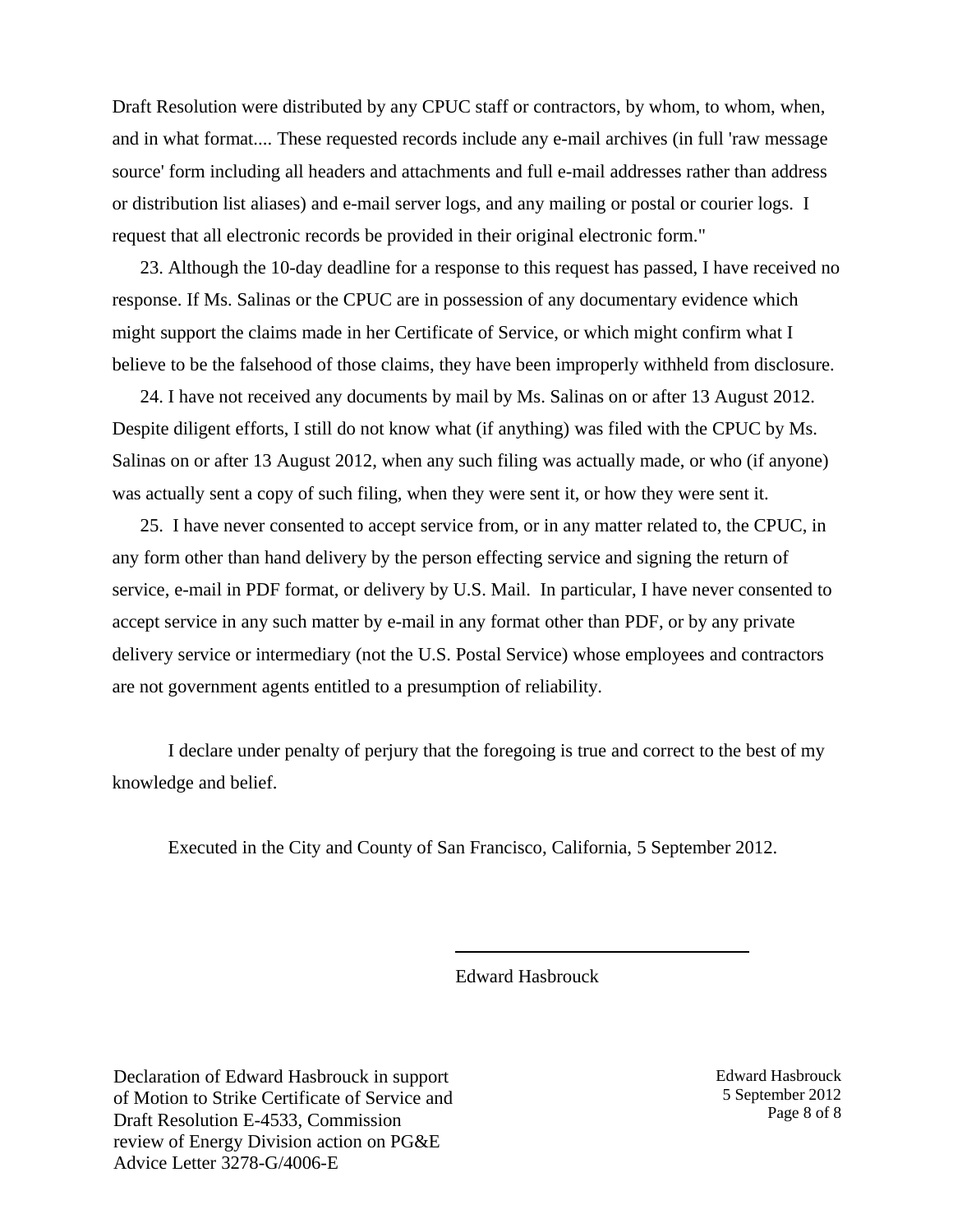Draft Resolution were distributed by any CPUC staff or contractors, by whom, to whom, when, and in what format.... These requested records include any e-mail archives (in full 'raw message source' form including all headers and attachments and full e-mail addresses rather than address or distribution list aliases) and e-mail server logs, and any mailing or postal or courier logs. I request that all electronic records be provided in their original electronic form."

23. Although the 10-day deadline for a response to this request has passed, I have received no response. If Ms. Salinas or the CPUC are in possession of any documentary evidence which might support the claims made in her Certificate of Service, or which might confirm what I believe to be the falsehood of those claims, they have been improperly withheld from disclosure.

24. I have not received any documents by mail by Ms. Salinas on or after 13 August 2012. Despite diligent efforts, I still do not know what (if anything) was filed with the CPUC by Ms. Salinas on or after 13 August 2012, when any such filing was actually made, or who (if anyone) was actually sent a copy of such filing, when they were sent it, or how they were sent it.

25. I have never consented to accept service from, or in any matter related to, the CPUC, in any form other than hand delivery by the person effecting service and signing the return of service, e-mail in PDF format, or delivery by U.S. Mail. In particular, I have never consented to accept service in any such matter by e-mail in any format other than PDF, or by any private delivery service or intermediary (not the U.S. Postal Service) whose employees and contractors are not government agents entitled to a presumption of reliability.

I declare under penalty of perjury that the foregoing is true and correct to the best of my knowledge and belief.

Executed in the City and County of San Francisco, California, 5 September 2012.

Edward Hasbrouck

\_\_\_\_\_\_\_\_\_\_\_\_\_\_\_\_\_\_\_\_\_

Declaration of Edward Hasbrouck in support of Motion to Strike Certificate of Service and Draft Resolution E-4533, Commission review of Energy Division action on PG&E Advice Letter 3278-G/4006-E

Edward Hasbrouck 5 September 2012 Page 8 of 8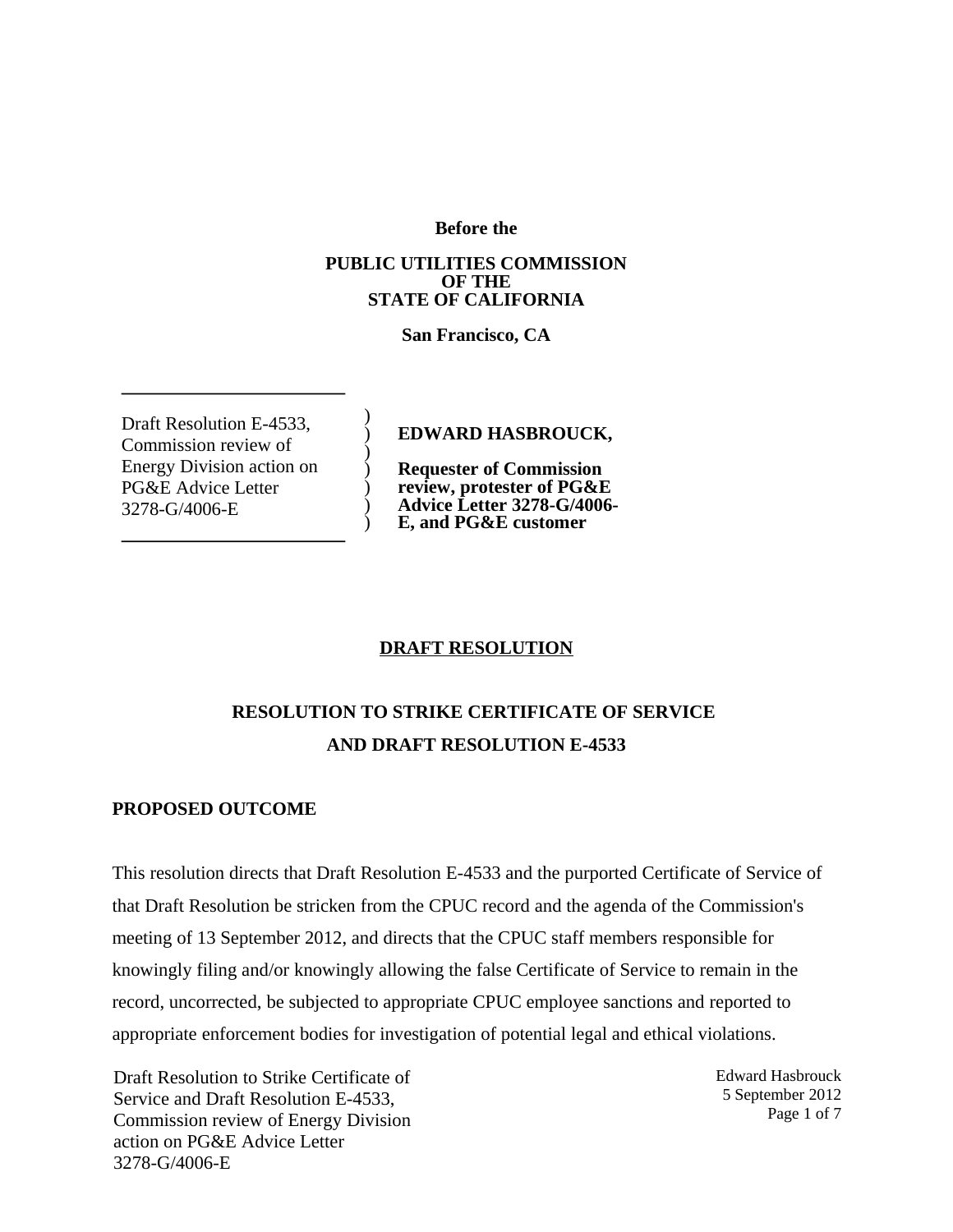**Before the**

#### **PUBLIC UTILITIES COMMISSION OF THE STATE OF CALIFORNIA**

**San Francisco, CA**

) ) ) ) ) ) )

Draft Resolution E-4533, Commission review of Energy Division action on PG&E Advice Letter 3278-G/4006-E

**EDWARD HASBROUCK,**

**Requester of Commission review, protester of PG&E Advice Letter 3278-G/4006- E, and PG&E customer**

### **DRAFT RESOLUTION**

## **RESOLUTION TO STRIKE CERTIFICATE OF SERVICE AND DRAFT RESOLUTION E-4533**

#### **PROPOSED OUTCOME**

This resolution directs that Draft Resolution E-4533 and the purported Certificate of Service of that Draft Resolution be stricken from the CPUC record and the agenda of the Commission's meeting of 13 September 2012, and directs that the CPUC staff members responsible for knowingly filing and/or knowingly allowing the false Certificate of Service to remain in the record, uncorrected, be subjected to appropriate CPUC employee sanctions and reported to appropriate enforcement bodies for investigation of potential legal and ethical violations.

Draft Resolution to Strike Certificate of Service and Draft Resolution E-4533, Commission review of Energy Division action on PG&E Advice Letter 3278-G/4006-E

Edward Hasbrouck 5 September 2012 Page 1 of 7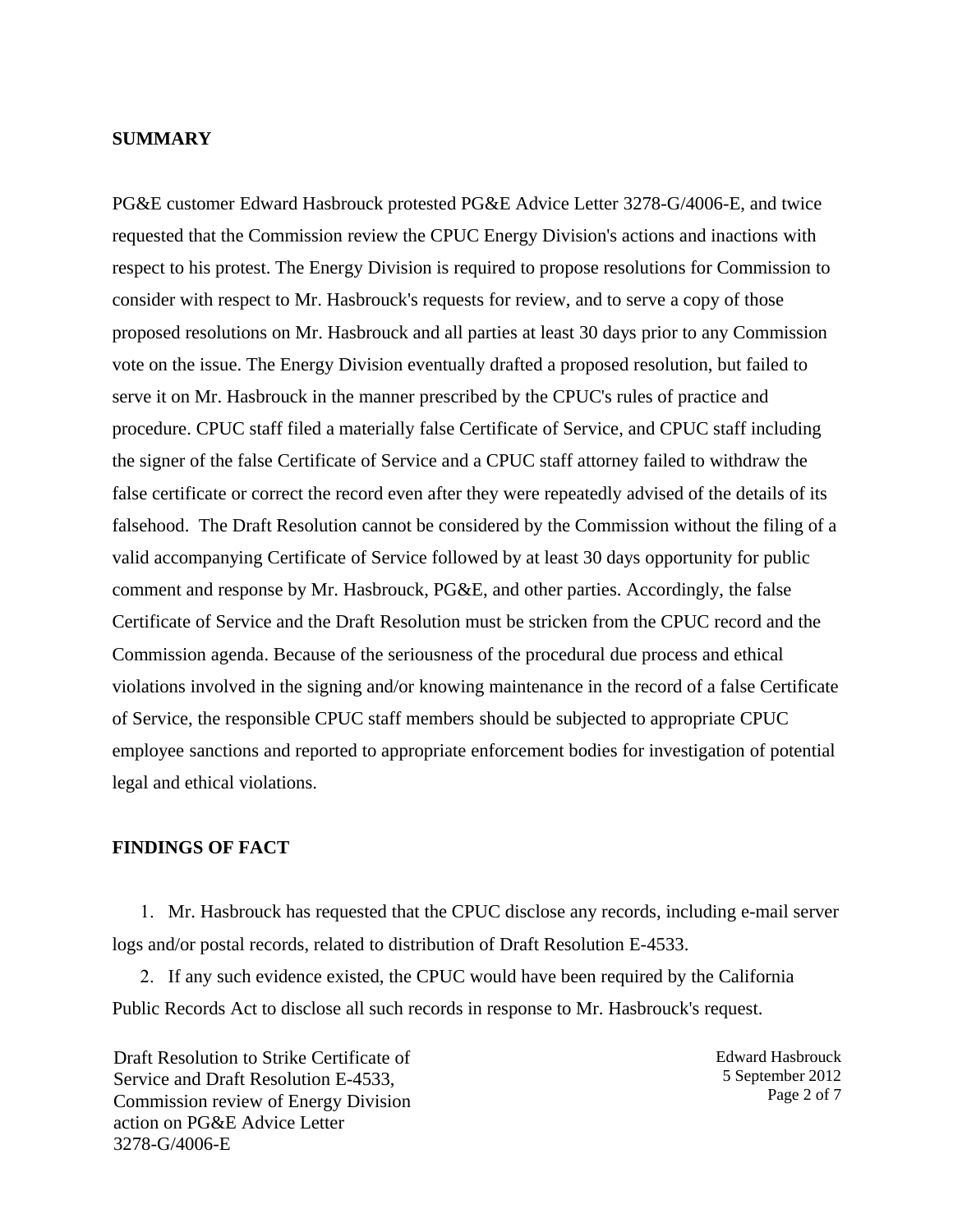#### **SUMMARY**

PG&E customer Edward Hasbrouck protested PG&E Advice Letter 3278-G/4006-E, and twice requested that the Commission review the CPUC Energy Division's actions and inactions with respect to his protest. The Energy Division is required to propose resolutions for Commission to consider with respect to Mr. Hasbrouck's requests for review, and to serve a copy of those proposed resolutions on Mr. Hasbrouck and all parties at least 30 days prior to any Commission vote on the issue. The Energy Division eventually drafted a proposed resolution, but failed to serve it on Mr. Hasbrouck in the manner prescribed by the CPUC's rules of practice and procedure. CPUC staff filed a materially false Certificate of Service, and CPUC staff including the signer of the false Certificate of Service and a CPUC staff attorney failed to withdraw the false certificate or correct the record even after they were repeatedly advised of the details of its falsehood. The Draft Resolution cannot be considered by the Commission without the filing of a valid accompanying Certificate of Service followed by at least 30 days opportunity for public comment and response by Mr. Hasbrouck, PG&E, and other parties. Accordingly, the false Certificate of Service and the Draft Resolution must be stricken from the CPUC record and the Commission agenda. Because of the seriousness of the procedural due process and ethical violations involved in the signing and/or knowing maintenance in the record of a false Certificate of Service, the responsible CPUC staff members should be subjected to appropriate CPUC employee sanctions and reported to appropriate enforcement bodies for investigation of potential legal and ethical violations.

### **FINDINGS OF FACT**

1. Mr. Hasbrouck has requested that the CPUC disclose any records, including e-mail server logs and/or postal records, related to distribution of Draft Resolution E-4533.

2. If any such evidence existed, the CPUC would have been required by the California Public Records Act to disclose all such records in response to Mr. Hasbrouck's request.

Draft Resolution to Strike Certificate of Service and Draft Resolution E-4533, Commission review of Energy Division action on PG&E Advice Letter 3278-G/4006-E

Edward Hasbrouck 5 September 2012 Page 2 of 7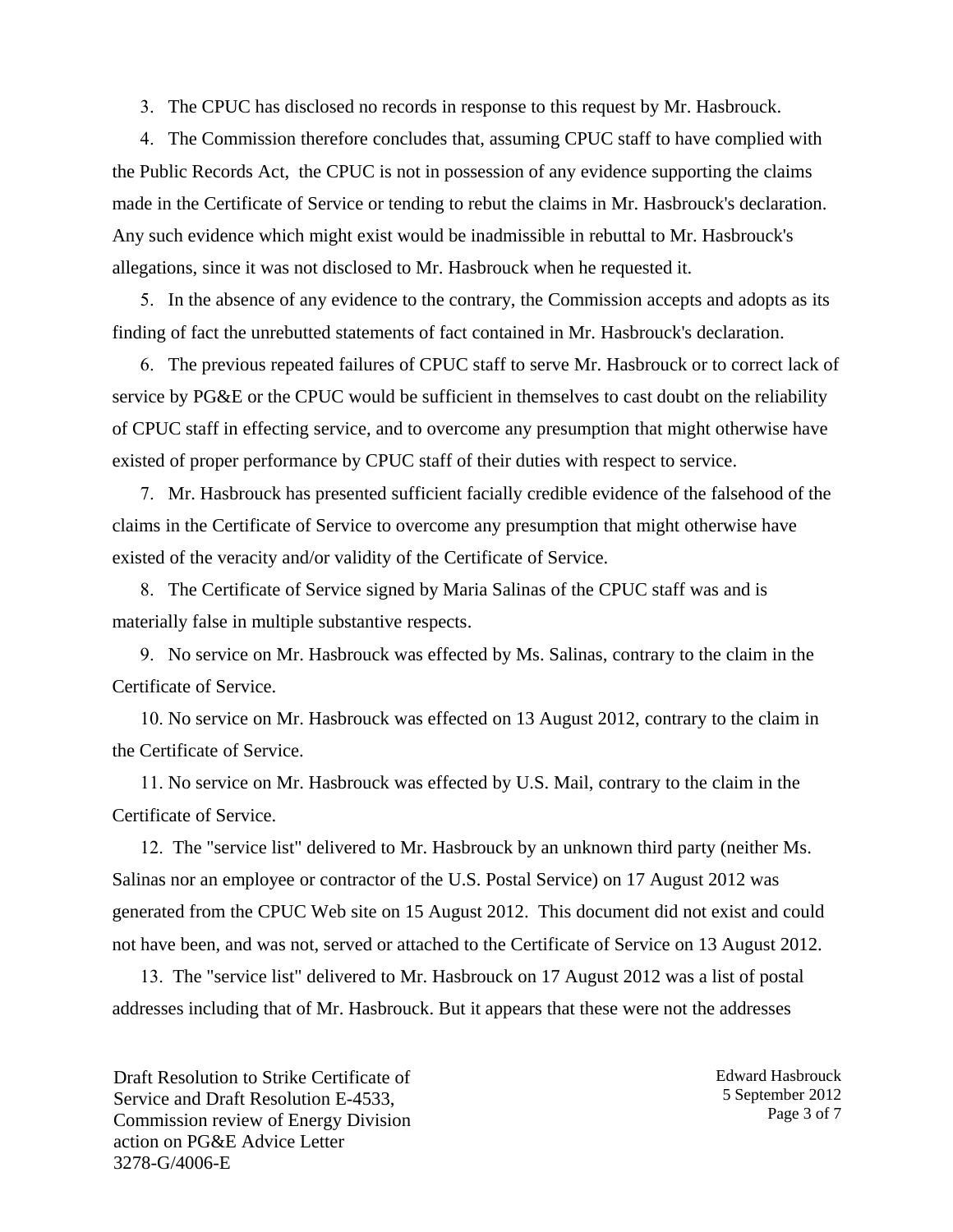3. The CPUC has disclosed no records in response to this request by Mr. Hasbrouck.

4. The Commission therefore concludes that, assuming CPUC staff to have complied with the Public Records Act, the CPUC is not in possession of any evidence supporting the claims made in the Certificate of Service or tending to rebut the claims in Mr. Hasbrouck's declaration. Any such evidence which might exist would be inadmissible in rebuttal to Mr. Hasbrouck's allegations, since it was not disclosed to Mr. Hasbrouck when he requested it.

5. In the absence of any evidence to the contrary, the Commission accepts and adopts as its finding of fact the unrebutted statements of fact contained in Mr. Hasbrouck's declaration.

6. The previous repeated failures of CPUC staff to serve Mr. Hasbrouck or to correct lack of service by PG&E or the CPUC would be sufficient in themselves to cast doubt on the reliability of CPUC staff in effecting service, and to overcome any presumption that might otherwise have existed of proper performance by CPUC staff of their duties with respect to service.

7. Mr. Hasbrouck has presented sufficient facially credible evidence of the falsehood of the claims in the Certificate of Service to overcome any presumption that might otherwise have existed of the veracity and/or validity of the Certificate of Service.

8. The Certificate of Service signed by Maria Salinas of the CPUC staff was and is materially false in multiple substantive respects.

9. No service on Mr. Hasbrouck was effected by Ms. Salinas, contrary to the claim in the Certificate of Service.

10. No service on Mr. Hasbrouck was effected on 13 August 2012, contrary to the claim in the Certificate of Service.

11. No service on Mr. Hasbrouck was effected by U.S. Mail, contrary to the claim in the Certificate of Service.

12. The "service list" delivered to Mr. Hasbrouck by an unknown third party (neither Ms. Salinas nor an employee or contractor of the U.S. Postal Service) on 17 August 2012 was generated from the CPUC Web site on 15 August 2012. This document did not exist and could not have been, and was not, served or attached to the Certificate of Service on 13 August 2012.

13. The "service list" delivered to Mr. Hasbrouck on 17 August 2012 was a list of postal addresses including that of Mr. Hasbrouck. But it appears that these were not the addresses

Draft Resolution to Strike Certificate of Service and Draft Resolution E-4533, Commission review of Energy Division action on PG&E Advice Letter 3278-G/4006-E

Edward Hasbrouck 5 September 2012 Page 3 of 7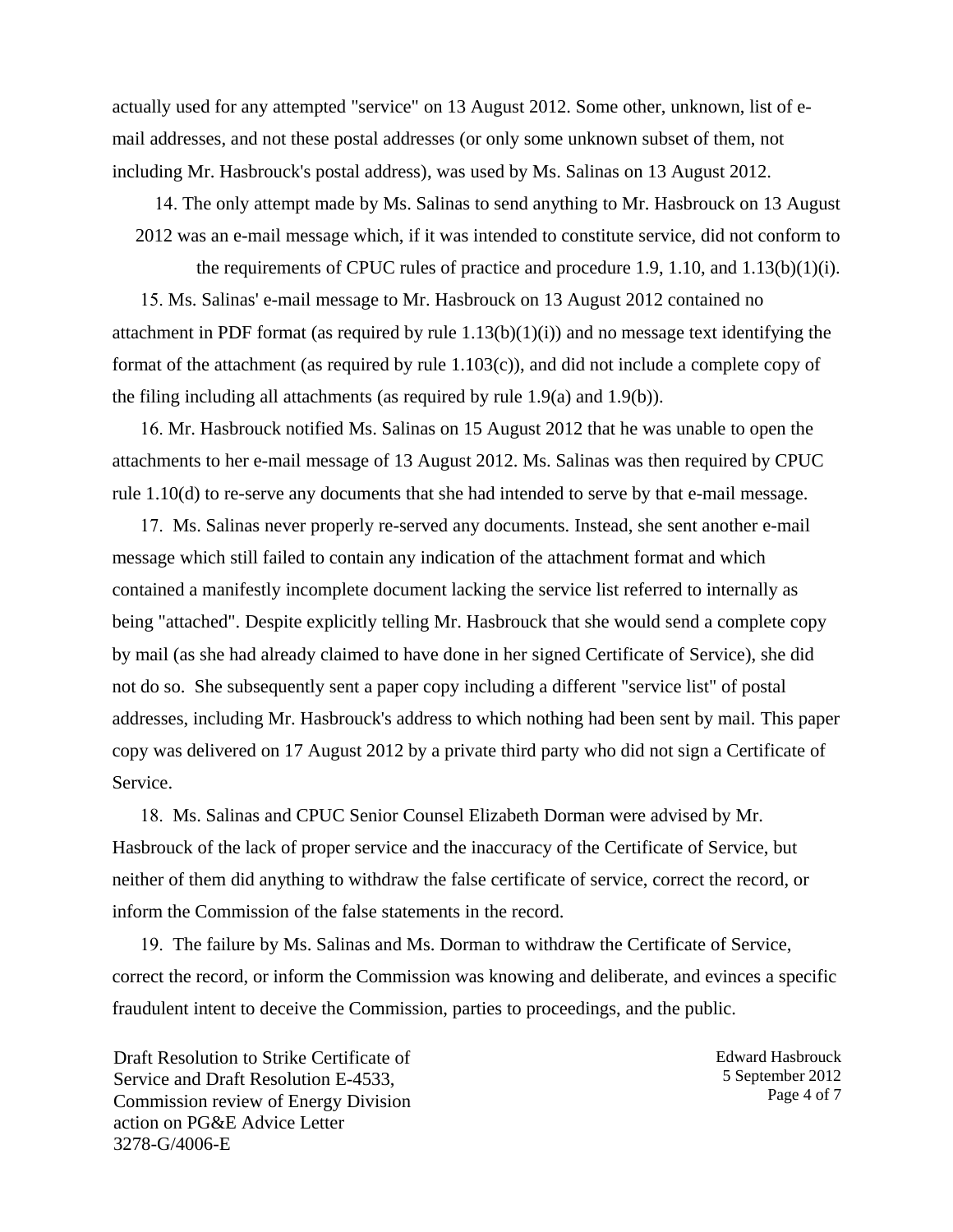actually used for any attempted "service" on 13 August 2012. Some other, unknown, list of email addresses, and not these postal addresses (or only some unknown subset of them, not including Mr. Hasbrouck's postal address), was used by Ms. Salinas on 13 August 2012.

14. The only attempt made by Ms. Salinas to send anything to Mr. Hasbrouck on 13 August 2012 was an e-mail message which, if it was intended to constitute service, did not conform to

the requirements of CPUC rules of practice and procedure 1.9, 1.10, and 1.13(b)(1)(i). 15. Ms. Salinas' e-mail message to Mr. Hasbrouck on 13 August 2012 contained no attachment in PDF format (as required by rule 1.13(b)(1)(i)) and no message text identifying the format of the attachment (as required by rule 1.103(c)), and did not include a complete copy of the filing including all attachments (as required by rule 1.9(a) and 1.9(b)).

16. Mr. Hasbrouck notified Ms. Salinas on 15 August 2012 that he was unable to open the attachments to her e-mail message of 13 August 2012. Ms. Salinas was then required by CPUC rule 1.10(d) to re-serve any documents that she had intended to serve by that e-mail message.

17. Ms. Salinas never properly re-served any documents. Instead, she sent another e-mail message which still failed to contain any indication of the attachment format and which contained a manifestly incomplete document lacking the service list referred to internally as being "attached". Despite explicitly telling Mr. Hasbrouck that she would send a complete copy by mail (as she had already claimed to have done in her signed Certificate of Service), she did not do so. She subsequently sent a paper copy including a different "service list" of postal addresses, including Mr. Hasbrouck's address to which nothing had been sent by mail. This paper copy was delivered on 17 August 2012 by a private third party who did not sign a Certificate of Service.

18. Ms. Salinas and CPUC Senior Counsel Elizabeth Dorman were advised by Mr. Hasbrouck of the lack of proper service and the inaccuracy of the Certificate of Service, but neither of them did anything to withdraw the false certificate of service, correct the record, or inform the Commission of the false statements in the record.

19. The failure by Ms. Salinas and Ms. Dorman to withdraw the Certificate of Service, correct the record, or inform the Commission was knowing and deliberate, and evinces a specific fraudulent intent to deceive the Commission, parties to proceedings, and the public.

Draft Resolution to Strike Certificate of Service and Draft Resolution E-4533, Commission review of Energy Division action on PG&E Advice Letter 3278-G/4006-E

Edward Hasbrouck 5 September 2012 Page 4 of 7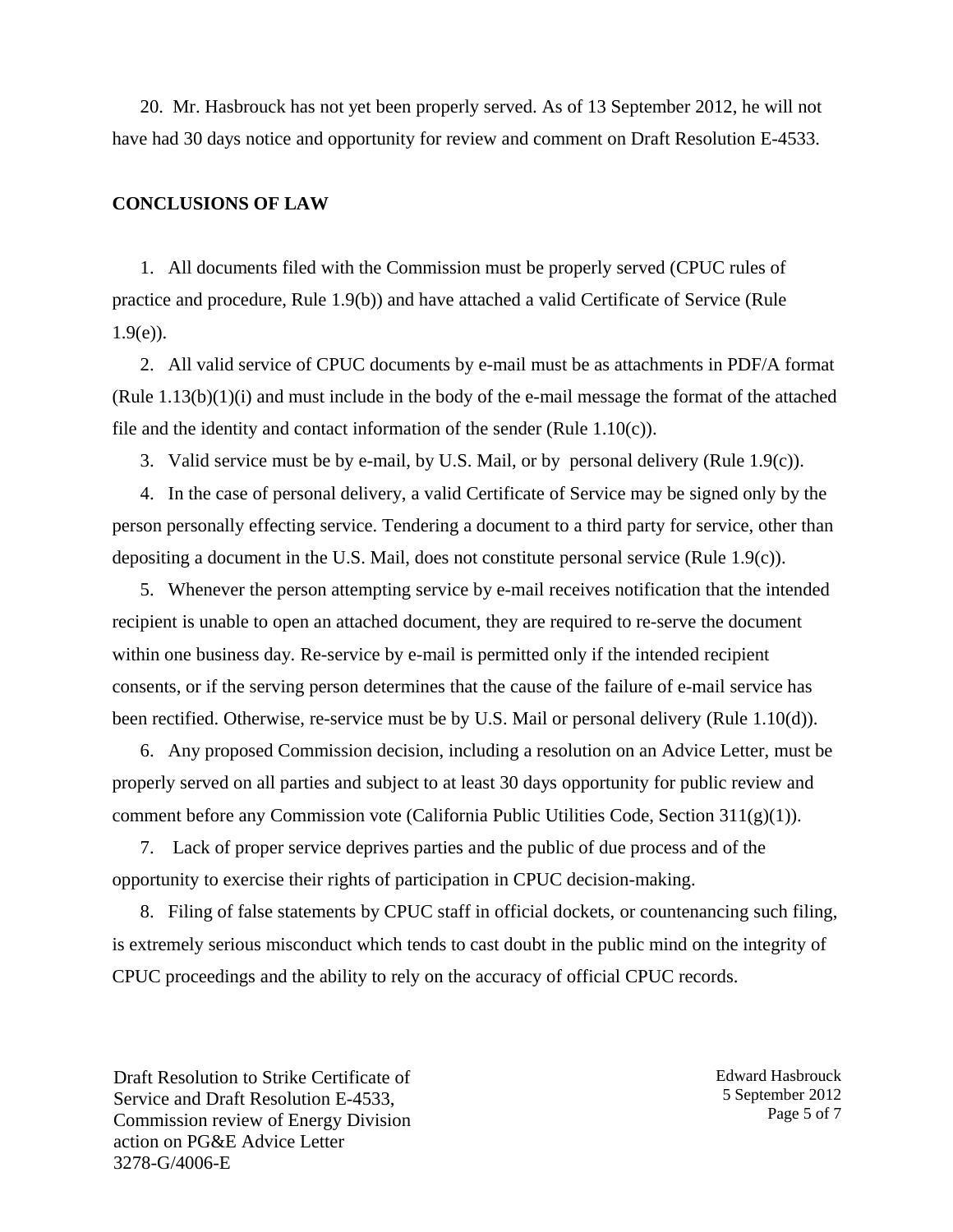20. Mr. Hasbrouck has not yet been properly served. As of 13 September 2012, he will not have had 30 days notice and opportunity for review and comment on Draft Resolution E-4533.

#### **CONCLUSIONS OF LAW**

1. All documents filed with the Commission must be properly served (CPUC rules of practice and procedure, Rule 1.9(b)) and have attached a valid Certificate of Service (Rule  $1.9(e)$ ).

2. All valid service of CPUC documents by e-mail must be as attachments in PDF/A format (Rule 1.13(b)(1)(i) and must include in the body of the e-mail message the format of the attached file and the identity and contact information of the sender (Rule  $1.10(c)$ ).

3. Valid service must be by e-mail, by U.S. Mail, or by personal delivery (Rule 1.9(c)).

4. In the case of personal delivery, a valid Certificate of Service may be signed only by the person personally effecting service. Tendering a document to a third party for service, other than depositing a document in the U.S. Mail, does not constitute personal service (Rule 1.9(c)).

5. Whenever the person attempting service by e-mail receives notification that the intended recipient is unable to open an attached document, they are required to re-serve the document within one business day. Re-service by e-mail is permitted only if the intended recipient consents, or if the serving person determines that the cause of the failure of e-mail service has been rectified. Otherwise, re-service must be by U.S. Mail or personal delivery (Rule 1.10(d)).

6. Any proposed Commission decision, including a resolution on an Advice Letter, must be properly served on all parties and subject to at least 30 days opportunity for public review and comment before any Commission vote (California Public Utilities Code, Section 311(g)(1)).

7. Lack of proper service deprives parties and the public of due process and of the opportunity to exercise their rights of participation in CPUC decision-making.

8. Filing of false statements by CPUC staff in official dockets, or countenancing such filing, is extremely serious misconduct which tends to cast doubt in the public mind on the integrity of CPUC proceedings and the ability to rely on the accuracy of official CPUC records.

Draft Resolution to Strike Certificate of Service and Draft Resolution E-4533, Commission review of Energy Division action on PG&E Advice Letter 3278-G/4006-E

Edward Hasbrouck 5 September 2012 Page 5 of 7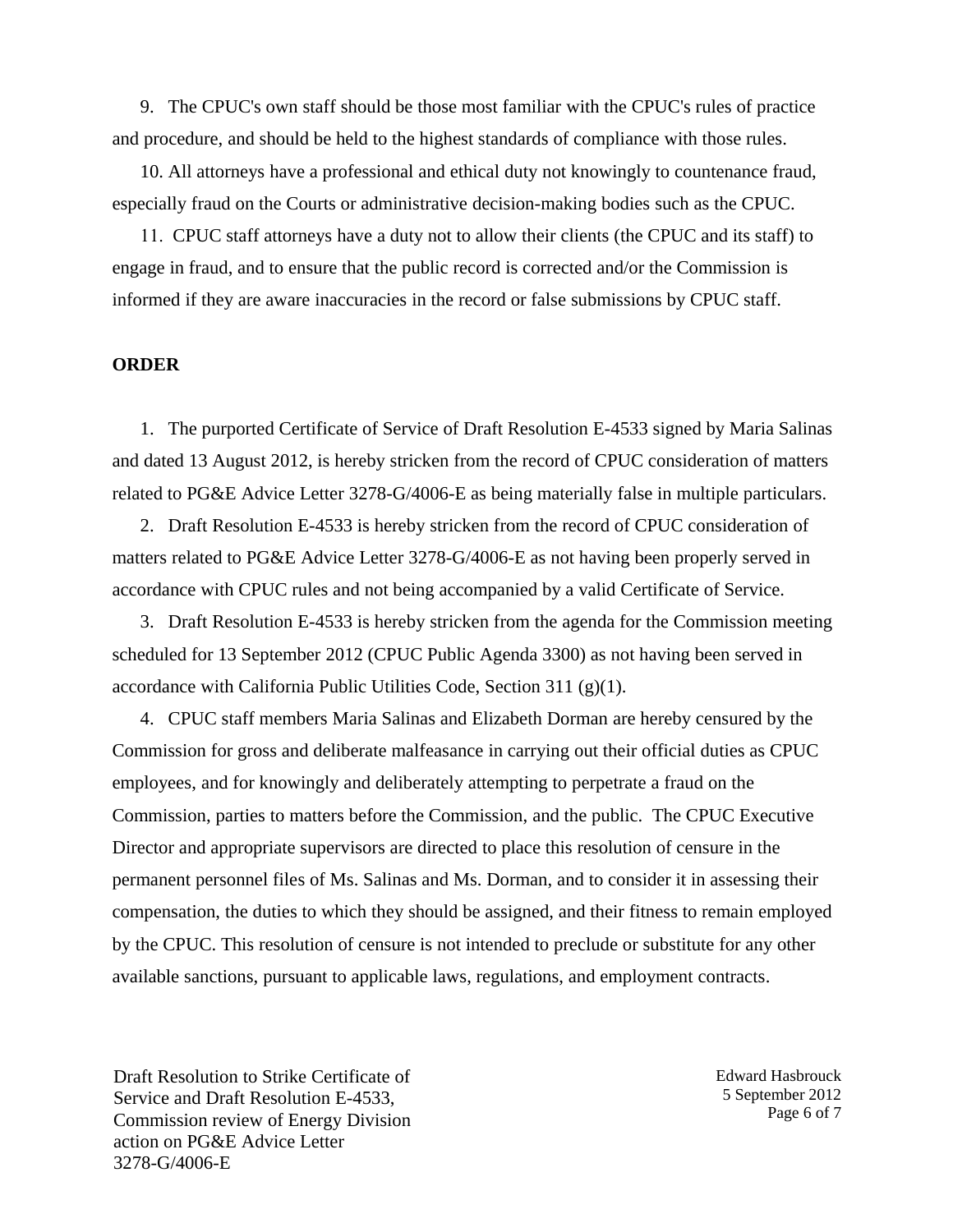9. The CPUC's own staff should be those most familiar with the CPUC's rules of practice and procedure, and should be held to the highest standards of compliance with those rules.

10. All attorneys have a professional and ethical duty not knowingly to countenance fraud, especially fraud on the Courts or administrative decision-making bodies such as the CPUC.

11. CPUC staff attorneys have a duty not to allow their clients (the CPUC and its staff) to engage in fraud, and to ensure that the public record is corrected and/or the Commission is informed if they are aware inaccuracies in the record or false submissions by CPUC staff.

#### **ORDER**

1. The purported Certificate of Service of Draft Resolution E-4533 signed by Maria Salinas and dated 13 August 2012, is hereby stricken from the record of CPUC consideration of matters related to PG&E Advice Letter 3278-G/4006-E as being materially false in multiple particulars.

2. Draft Resolution E-4533 is hereby stricken from the record of CPUC consideration of matters related to PG&E Advice Letter 3278-G/4006-E as not having been properly served in accordance with CPUC rules and not being accompanied by a valid Certificate of Service.

3. Draft Resolution E-4533 is hereby stricken from the agenda for the Commission meeting scheduled for 13 September 2012 (CPUC Public Agenda 3300) as not having been served in accordance with California Public Utilities Code, Section 311 (g)(1).

4. CPUC staff members Maria Salinas and Elizabeth Dorman are hereby censured by the Commission for gross and deliberate malfeasance in carrying out their official duties as CPUC employees, and for knowingly and deliberately attempting to perpetrate a fraud on the Commission, parties to matters before the Commission, and the public. The CPUC Executive Director and appropriate supervisors are directed to place this resolution of censure in the permanent personnel files of Ms. Salinas and Ms. Dorman, and to consider it in assessing their compensation, the duties to which they should be assigned, and their fitness to remain employed by the CPUC. This resolution of censure is not intended to preclude or substitute for any other available sanctions, pursuant to applicable laws, regulations, and employment contracts.

Draft Resolution to Strike Certificate of Service and Draft Resolution E-4533, Commission review of Energy Division action on PG&E Advice Letter 3278-G/4006-E

Edward Hasbrouck 5 September 2012 Page 6 of 7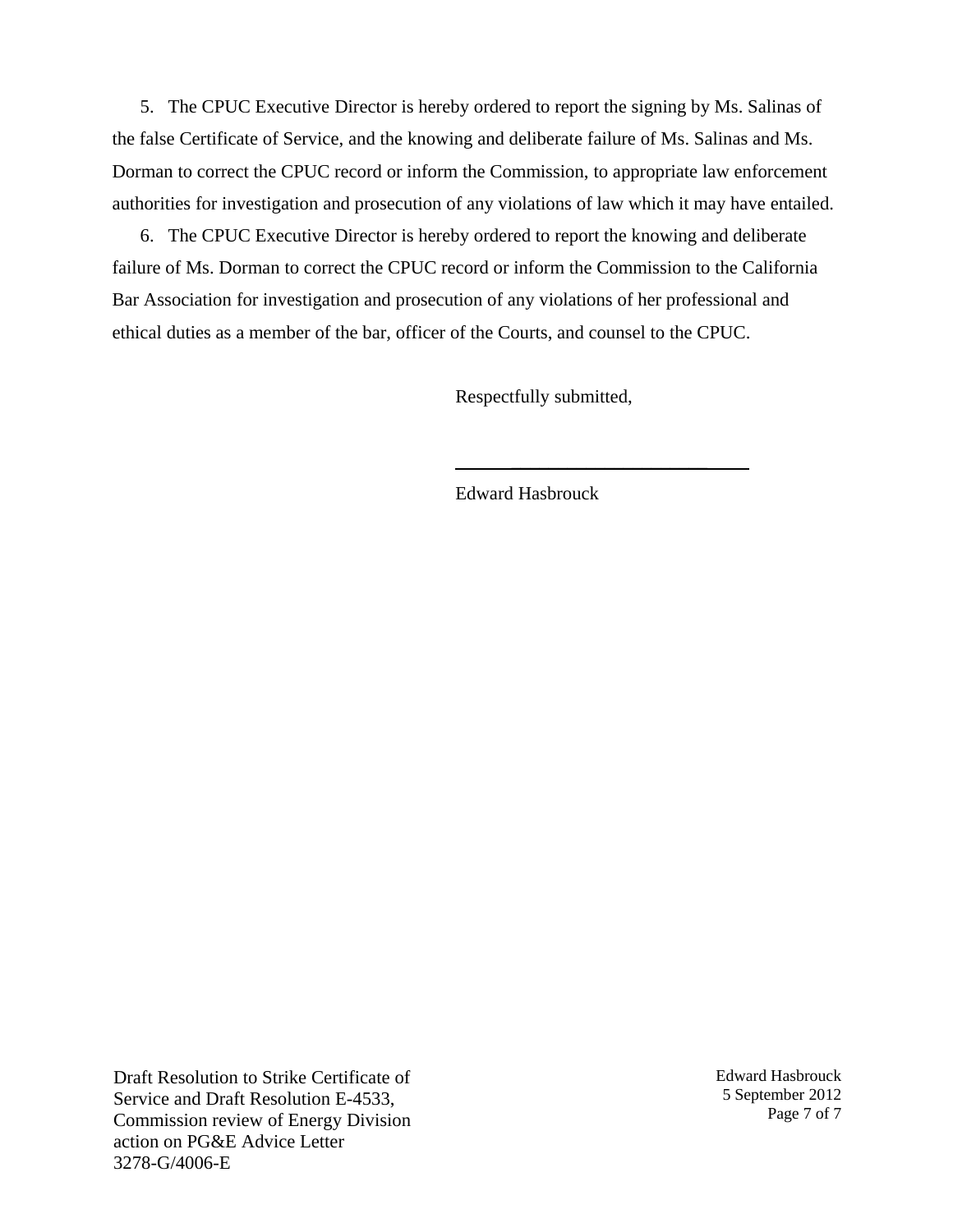5. The CPUC Executive Director is hereby ordered to report the signing by Ms. Salinas of the false Certificate of Service, and the knowing and deliberate failure of Ms. Salinas and Ms. Dorman to correct the CPUC record or inform the Commission, to appropriate law enforcement authorities for investigation and prosecution of any violations of law which it may have entailed.

6. The CPUC Executive Director is hereby ordered to report the knowing and deliberate failure of Ms. Dorman to correct the CPUC record or inform the Commission to the California Bar Association for investigation and prosecution of any violations of her professional and ethical duties as a member of the bar, officer of the Courts, and counsel to the CPUC.

Respectfully submitted,

\_\_\_\_\_\_\_\_\_\_\_\_\_\_\_\_\_\_\_\_\_

Edward Hasbrouck

Draft Resolution to Strike Certificate of Service and Draft Resolution E-4533, Commission review of Energy Division action on PG&E Advice Letter 3278-G/4006-E

Edward Hasbrouck 5 September 2012 Page 7 of 7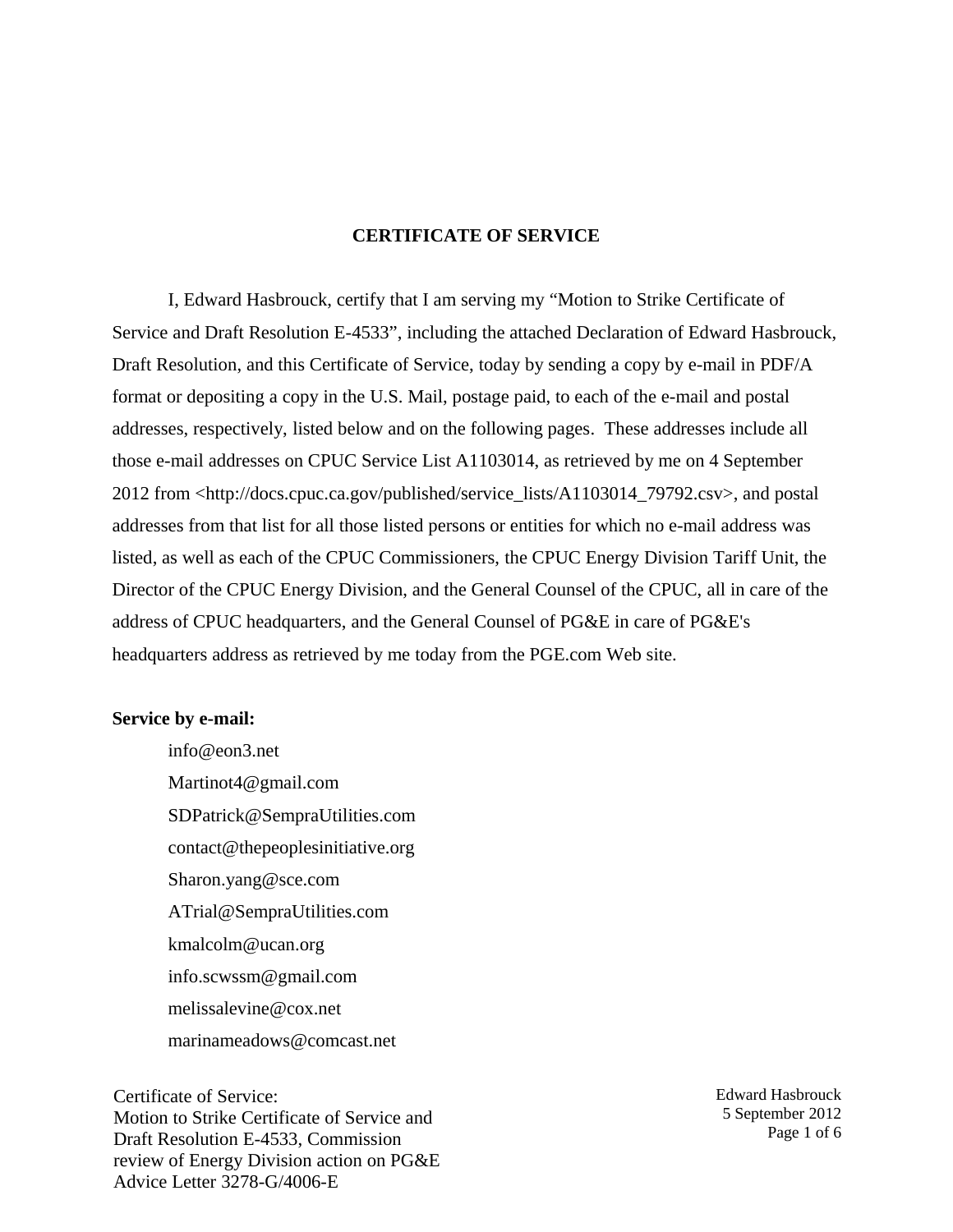#### **CERTIFICATE OF SERVICE**

I, Edward Hasbrouck, certify that I am serving my "Motion to Strike Certificate of Service and Draft Resolution E-4533", including the attached Declaration of Edward Hasbrouck, Draft Resolution, and this Certificate of Service, today by sending a copy by e-mail in PDF/A format or depositing a copy in the U.S. Mail, postage paid, to each of the e-mail and postal addresses, respectively, listed below and on the following pages. These addresses include all those e-mail addresses on CPUC Service List A1103014, as retrieved by me on 4 September 2012 from <http://docs.cpuc.ca.gov/published/service\_lists/A1103014\_79792.csv>, and postal addresses from that list for all those listed persons or entities for which no e-mail address was listed, as well as each of the CPUC Commissioners, the CPUC Energy Division Tariff Unit, the Director of the CPUC Energy Division, and the General Counsel of the CPUC, all in care of the address of CPUC headquarters, and the General Counsel of PG&E in care of PG&E's headquarters address as retrieved by me today from the PGE.com Web site.

#### **Service by e-mail:**

info@eon3.net Martinot4@gmail.com SDPatrick@SempraUtilities.com contact@thepeoplesinitiative.org Sharon.yang@sce.com ATrial@SempraUtilities.com kmalcolm@ucan.org info.scwssm@gmail.com melissalevine@cox.net marinameadows@comcast.net

Certificate of Service: Motion to Strike Certificate of Service and Draft Resolution E-4533, Commission review of Energy Division action on PG&E Advice Letter 3278-G/4006-E

Edward Hasbrouck 5 September 2012 Page 1 of 6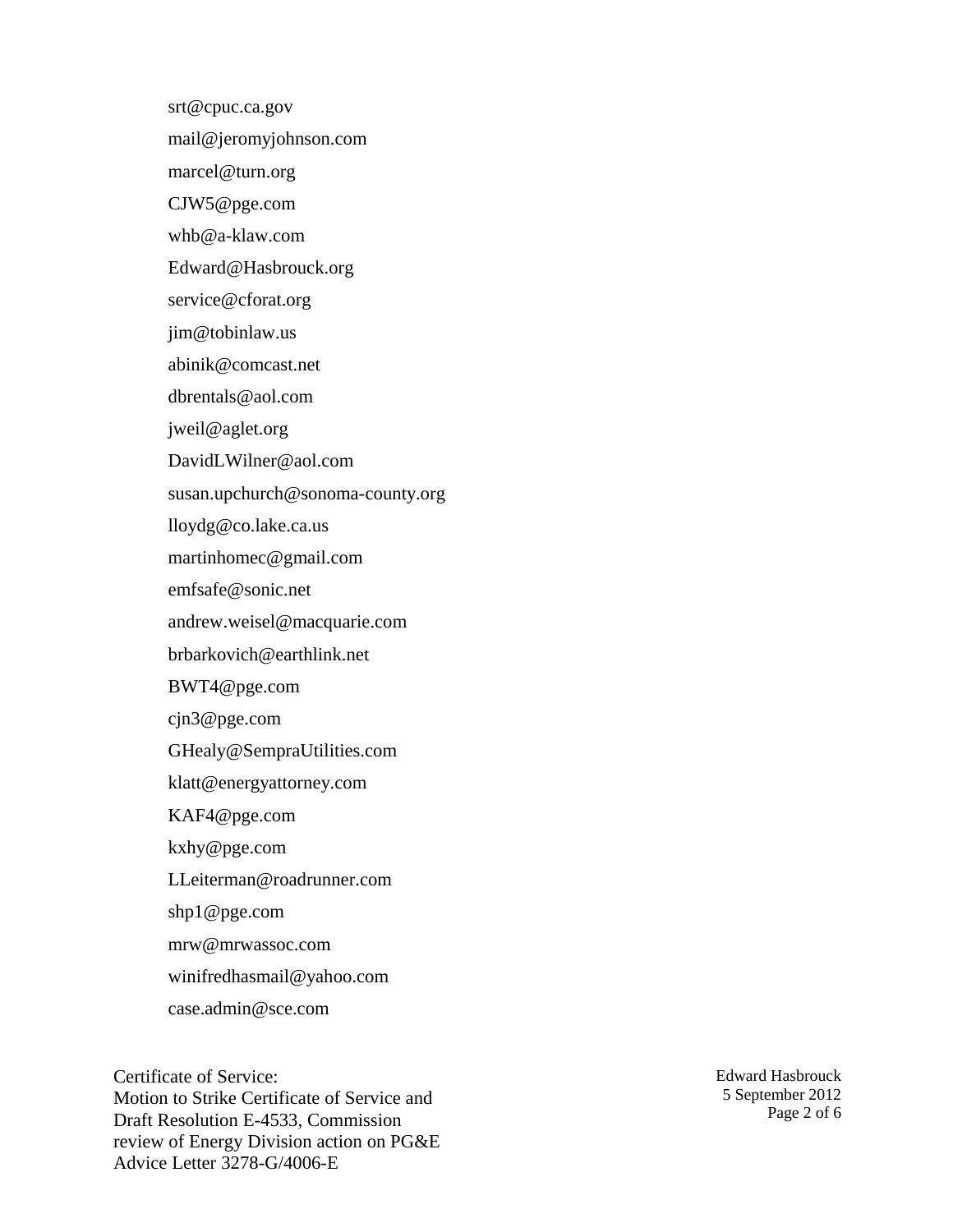srt@cpuc.ca.gov

mail@jeromyjohnson.com

marcel@turn.org

CJW5@pge.com

whb@a-klaw.com

Edward@Hasbrouck.org

service@cforat.org

jim@tobinlaw.us

abinik@comcast.net

dbrentals@aol.com

jweil@aglet.org

DavidLWilner@aol.com

susan.upchurch@sonoma-county.org

lloydg@co.lake.ca.us

martinhomec@gmail.com

emfsafe@sonic.net

andrew.weisel@macquarie.com

brbarkovich@earthlink.net

BWT4@pge.com

cjn3@pge.com

GHealy@SempraUtilities.com

klatt@energyattorney.com

KAF4@pge.com

kxhy@pge.com

LLeiterman@roadrunner.com

shp1@pge.com

mrw@mrwassoc.com

winifredhasmail@yahoo.com

case.admin@sce.com

Certificate of Service: Motion to Strike Certificate of Service and Draft Resolution E-4533, Commission review of Energy Division action on PG&E Advice Letter 3278-G/4006-E

Edward Hasbrouck 5 September 2012 Page 2 of 6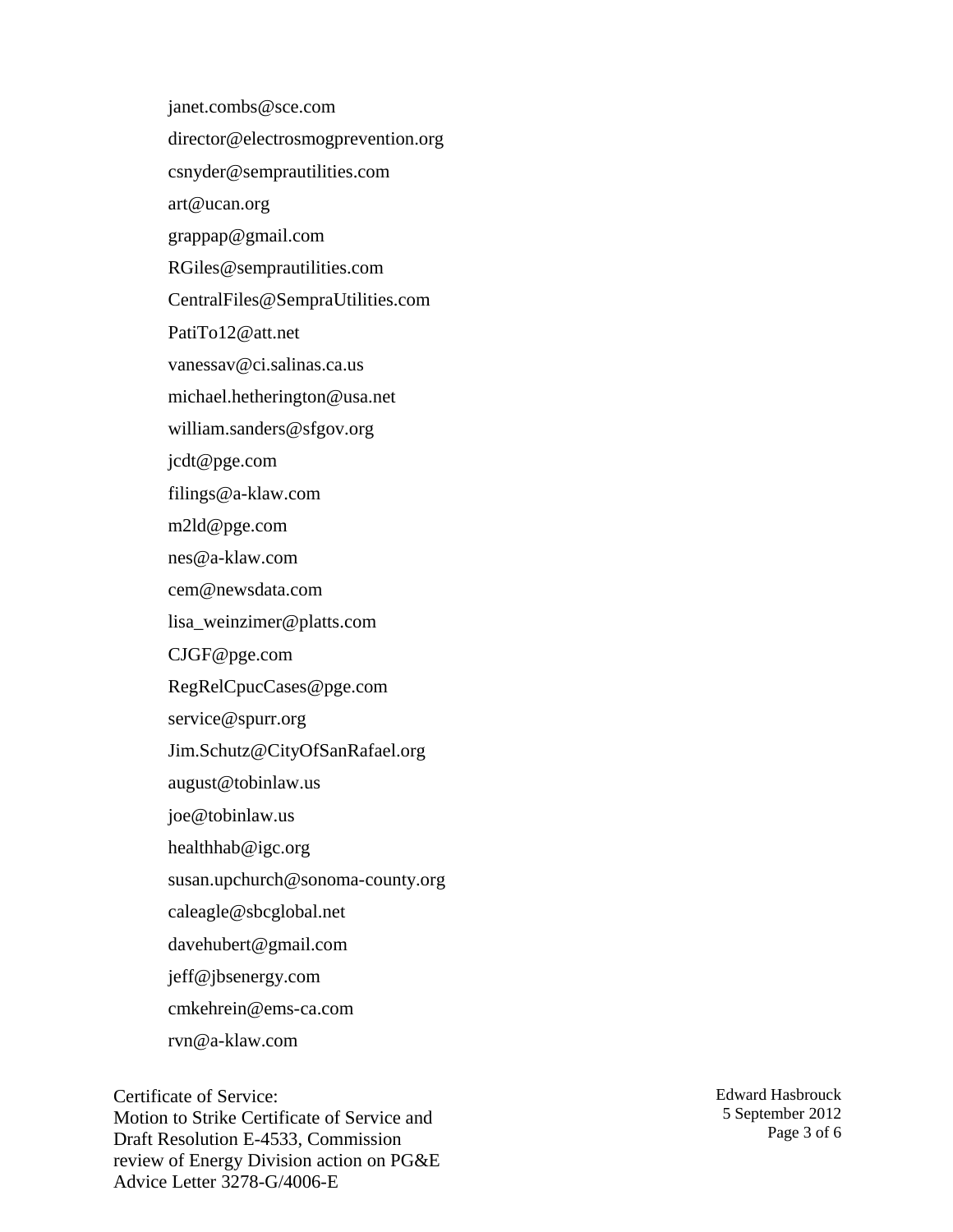janet.combs@sce.com director@electrosmogprevention.org csnyder@semprautilities.com art@ucan.org grappap@gmail.com RGiles@semprautilities.com CentralFiles@SempraUtilities.com PatiTo12@att.net vanessav@ci.salinas.ca.us michael.hetherington@usa.net william.sanders@sfgov.org jcdt@pge.com filings@a-klaw.com m2ld@pge.com nes@a-klaw.com cem@newsdata.com lisa\_weinzimer@platts.com CJGF@pge.com RegRelCpucCases@pge.com service@spurr.org Jim.Schutz@CityOfSanRafael.org august@tobinlaw.us joe@tobinlaw.us healthhab@igc.org susan.upchurch@sonoma-county.org caleagle@sbcglobal.net davehubert@gmail.com jeff@jbsenergy.com cmkehrein@ems-ca.com rvn@a-klaw.com

Certificate of Service: Motion to Strike Certificate of Service and Draft Resolution E-4533, Commission review of Energy Division action on PG&E Advice Letter 3278-G/4006-E

Edward Hasbrouck 5 September 2012 Page 3 of 6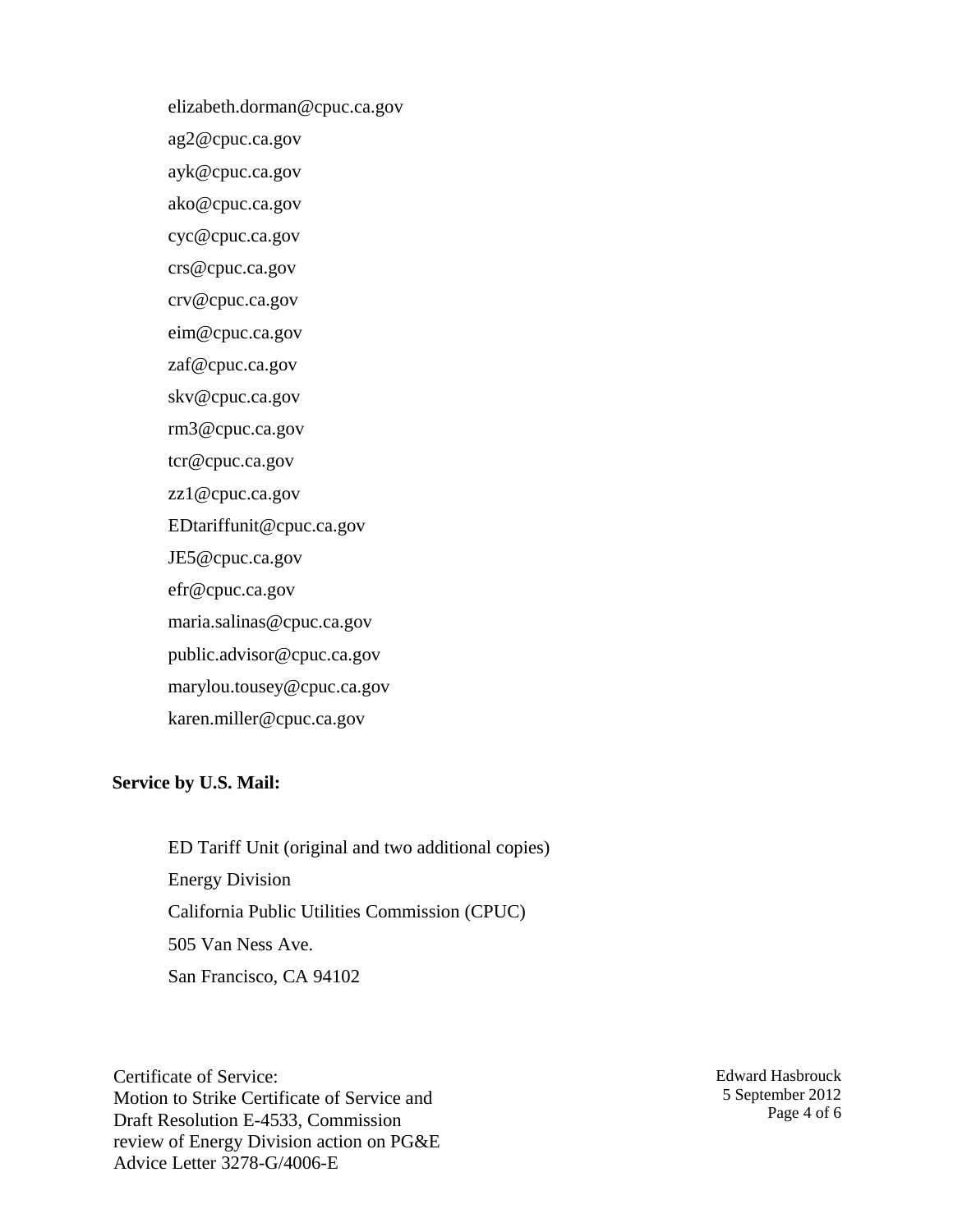elizabeth.dorman@cpuc.ca.gov

ag2@cpuc.ca.gov

ayk@cpuc.ca.gov

ako@cpuc.ca.gov

cyc@cpuc.ca.gov

crs@cpuc.ca.gov

crv@cpuc.ca.gov

eim@cpuc.ca.gov

zaf@cpuc.ca.gov

skv@cpuc.ca.gov

rm3@cpuc.ca.gov

tcr@cpuc.ca.gov

zz1@cpuc.ca.gov

EDtariffunit@cpuc.ca.gov

JE5@cpuc.ca.gov

efr@cpuc.ca.gov

maria.salinas@cpuc.ca.gov

public.advisor@cpuc.ca.gov

marylou.tousey@cpuc.ca.gov

karen.miller@cpuc.ca.gov

## **Service by U.S. Mail:**

ED Tariff Unit (original and two additional copies) Energy Division California Public Utilities Commission (CPUC) 505 Van Ness Ave. San Francisco, CA 94102

Certificate of Service: Motion to Strike Certificate of Service and Draft Resolution E-4533, Commission review of Energy Division action on PG&E Advice Letter 3278-G/4006-E

Edward Hasbrouck 5 September 2012 Page 4 of 6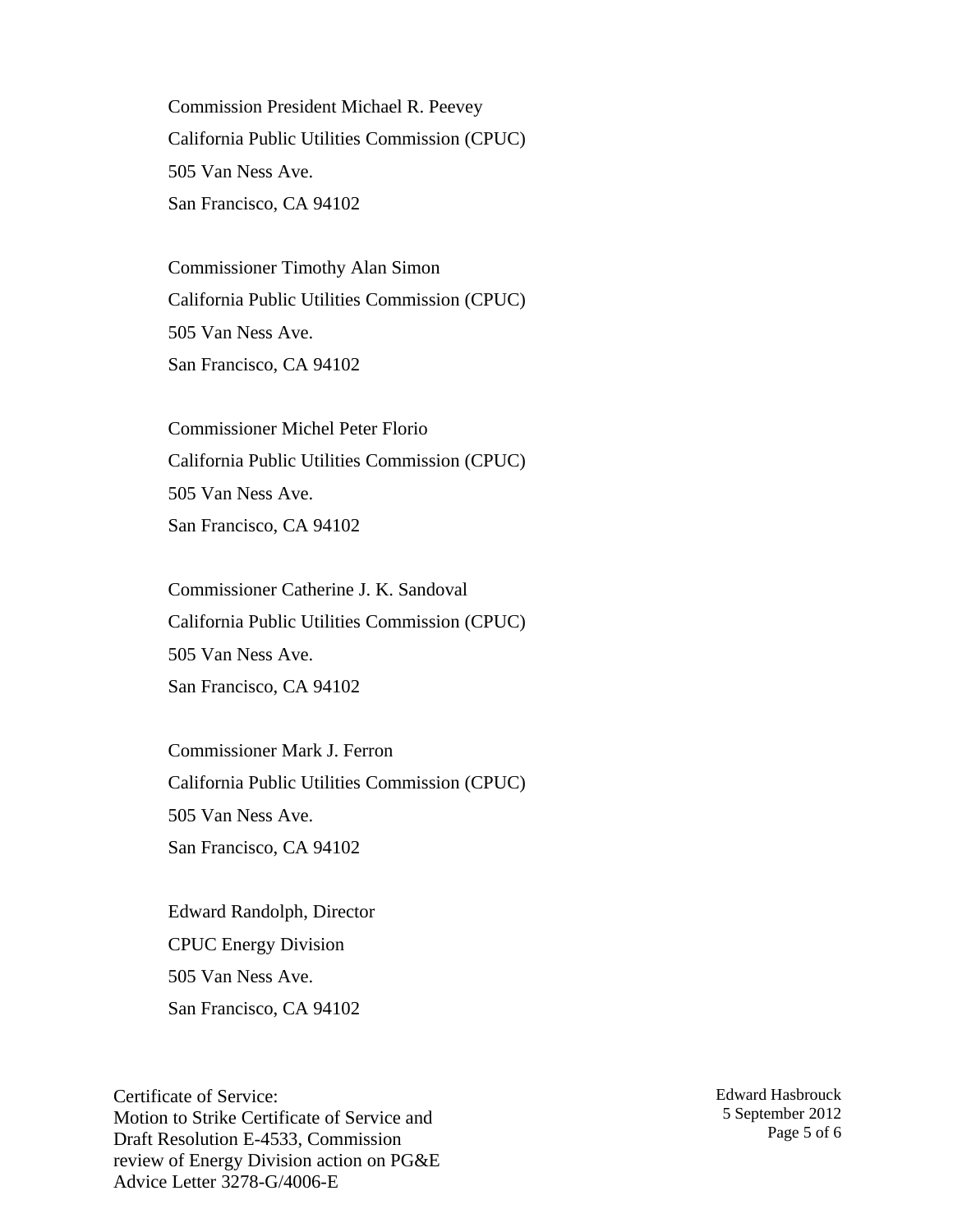Commission President Michael R. Peevey California Public Utilities Commission (CPUC) 505 Van Ness Ave. San Francisco, CA 94102

Commissioner Timothy Alan Simon California Public Utilities Commission (CPUC) 505 Van Ness Ave. San Francisco, CA 94102

Commissioner Michel Peter Florio California Public Utilities Commission (CPUC) 505 Van Ness Ave. San Francisco, CA 94102

Commissioner Catherine J. K. Sandoval California Public Utilities Commission (CPUC) 505 Van Ness Ave. San Francisco, CA 94102

Commissioner Mark J. Ferron California Public Utilities Commission (CPUC) 505 Van Ness Ave. San Francisco, CA 94102

Edward Randolph, Director CPUC Energy Division 505 Van Ness Ave. San Francisco, CA 94102

Certificate of Service: Motion to Strike Certificate of Service and Draft Resolution E-4533, Commission review of Energy Division action on PG&E Advice Letter 3278-G/4006-E

Edward Hasbrouck 5 September 2012 Page 5 of 6